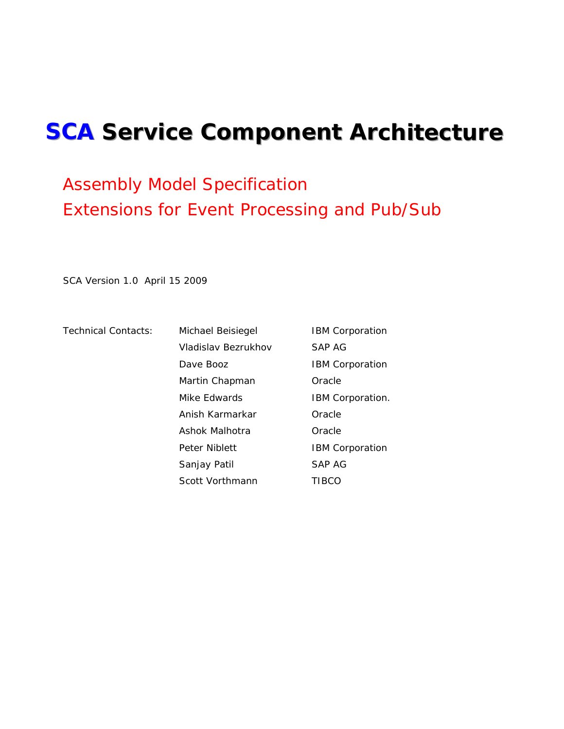# <span id="page-0-0"></span>**SCA Service Component Architecture**

# Assembly Model Specification Extensions for Event Processing and Pub/Sub

SCA Version 1.0 April 15 2009

Technical Contacts: Michael Beisiegel **IBM Corporation** Vladislav Bezrukhov SAP AG Dave Booz **IBM** Corporation Martin Chapman **Oracle** Mike Edwards **IBM Corporation.**  Anish Karmarkar Oracle Ashok Malhotra **Oracle** Peter Niblett **IBM** Corporation Sanjay Patil SAP AG Scott Vorthmann TIBCO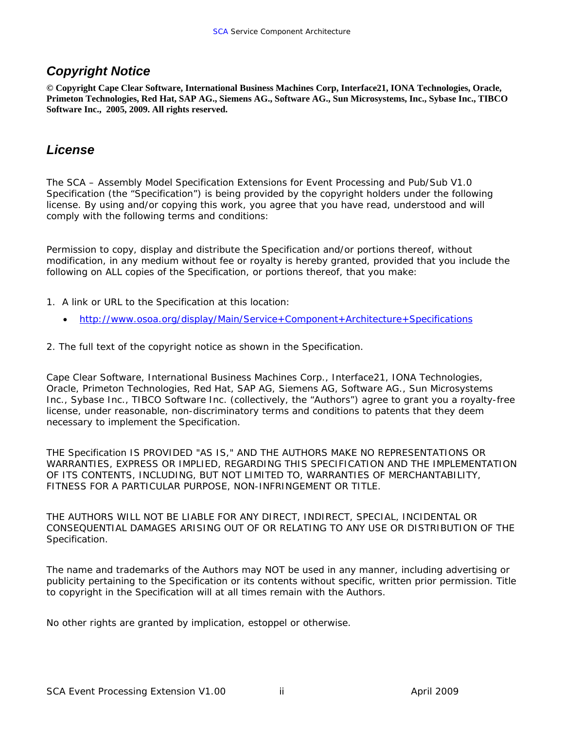### <span id="page-1-0"></span>*Copyright Notice*

**© Copyright Cape Clear Software, International Business Machines Corp, Interface21, IONA Technologies, Oracle, Primeton Technologies, Red Hat, SAP AG., Siemens AG., Software AG., Sun Microsystems, Inc., Sybase Inc., TIBCO Software Inc., 2005, 2009. All rights reserved.** 

### *License*

The SCA – Assembly Model Specification Extensions for Event Processing and Pub/Sub V1.0 Specification (the "Specification") is being provided by the copyright holders under the following license. By using and/or copying this work, you agree that you have read, understood and will comply with the following terms and conditions:

Permission to copy, display and distribute the Specification and/or portions thereof, without modification, in any medium without fee or royalty is hereby granted, provided that you include the following on ALL copies of the Specification, or portions thereof, that you make:

- 1. A link or URL to the Specification at this location:
	- <http://www.osoa.org/display/Main/Service+Component+Architecture+Specifications>
- 2. The full text of the copyright notice as shown in the Specification.

Cape Clear Software, International Business Machines Corp., Interface21, IONA Technologies, Oracle, Primeton Technologies, Red Hat, SAP AG, Siemens AG, Software AG., Sun Microsystems Inc., Sybase Inc., TIBCO Software Inc. (collectively, the "Authors") agree to grant you a royalty-free license, under reasonable, non-discriminatory terms and conditions to patents that they deem necessary to implement the Specification.

THE Specification IS PROVIDED "AS IS," AND THE AUTHORS MAKE NO REPRESENTATIONS OR WARRANTIES, EXPRESS OR IMPLIED, REGARDING THIS SPECIFICATION AND THE IMPLEMENTATION OF ITS CONTENTS, INCLUDING, BUT NOT LIMITED TO, WARRANTIES OF MERCHANTABILITY, FITNESS FOR A PARTICULAR PURPOSE, NON-INFRINGEMENT OR TITLE.

THE AUTHORS WILL NOT BE LIABLE FOR ANY DIRECT, INDIRECT, SPECIAL, INCIDENTAL OR CONSEQUENTIAL DAMAGES ARISING OUT OF OR RELATING TO ANY USE OR DISTRIBUTION OF THE Specification.

The name and trademarks of the Authors may NOT be used in any manner, including advertising or publicity pertaining to the Specification or its contents without specific, written prior permission. Title to copyright in the Specification will at all times remain with the Authors.

No other rights are granted by implication, estoppel or otherwise.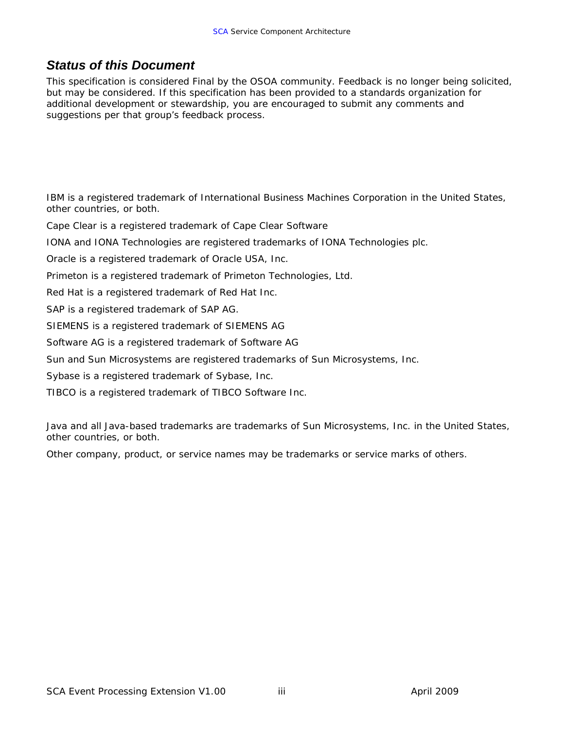## <span id="page-2-0"></span>*Status of this Document*

This specification is considered Final by the OSOA community. Feedback is no longer being solicited, but may be considered. If this specification has been provided to a standards organization for additional development or stewardship, you are encouraged to submit any comments and suggestions per that group's feedback process.

IBM is a registered trademark of International Business Machines Corporation in the United States, other countries, or both.

Cape Clear is a registered trademark of Cape Clear Software

IONA and IONA Technologies are registered trademarks of IONA Technologies plc.

Oracle is a registered trademark of Oracle USA, Inc.

Primeton is a registered trademark of Primeton Technologies, Ltd.

Red Hat is a registered trademark of Red Hat Inc.

SAP is a registered trademark of SAP AG.

SIEMENS is a registered trademark of SIEMENS AG

Software AG is a registered trademark of Software AG

Sun and Sun Microsystems are registered trademarks of Sun Microsystems, Inc.

Sybase is a registered trademark of Sybase, Inc.

TIBCO is a registered trademark of TIBCO Software Inc.

Java and all Java-based trademarks are trademarks of Sun Microsystems, Inc. in the United States, other countries, or both.

Other company, product, or service names may be trademarks or service marks of others.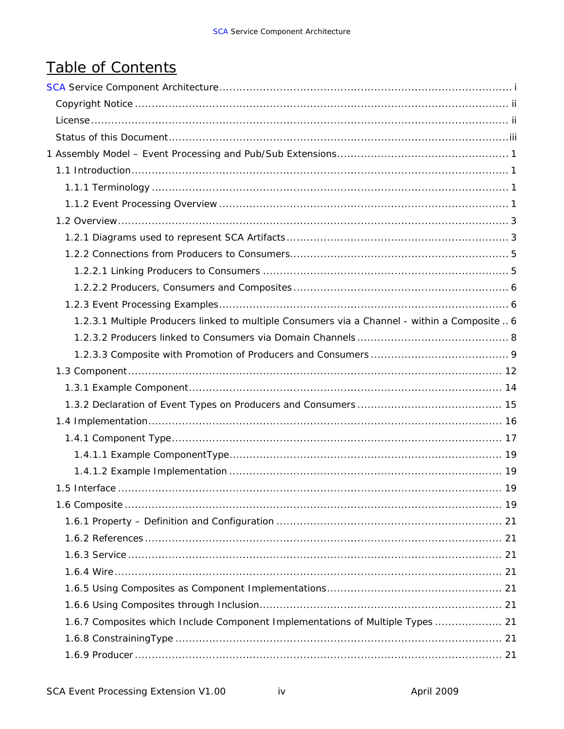# Table of Contents

| 1.2.3.1 Multiple Producers linked to multiple Consumers via a Channel - within a Composite  6 |  |
|-----------------------------------------------------------------------------------------------|--|
|                                                                                               |  |
|                                                                                               |  |
|                                                                                               |  |
|                                                                                               |  |
|                                                                                               |  |
|                                                                                               |  |
|                                                                                               |  |
|                                                                                               |  |
|                                                                                               |  |
|                                                                                               |  |
|                                                                                               |  |
|                                                                                               |  |
|                                                                                               |  |
|                                                                                               |  |
|                                                                                               |  |
|                                                                                               |  |
|                                                                                               |  |
| 1.6.7 Composites which Include Component Implementations of Multiple Types  21                |  |
|                                                                                               |  |
|                                                                                               |  |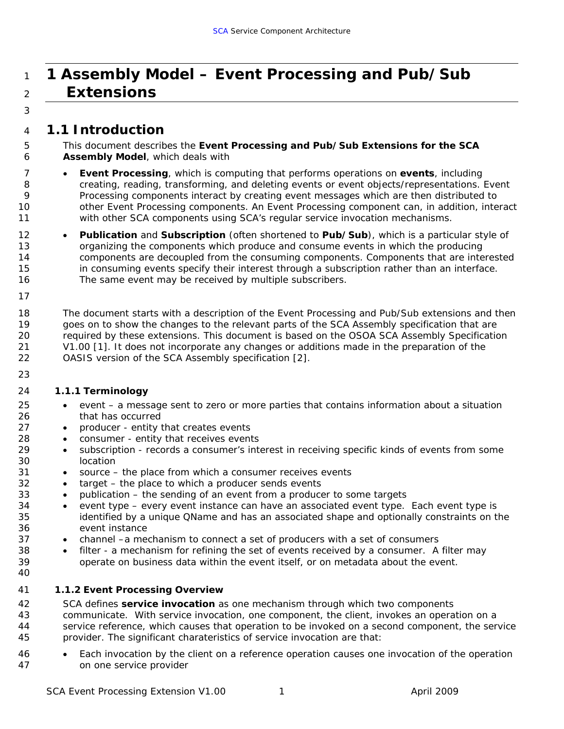# <span id="page-6-0"></span><sup>1</sup>**1 Assembly Model – Event Processing and Pub/Sub**  <sup>2</sup>**Extensions**

# 3

### 4 *1.1 Introduction*

5 6 This document describes the *Event Processing and Pub/Sub Extensions for the SCA Assembly Model*, which deals with

- 7 *Event Processing*, which is computing that performs operations on *events*, including creating, reading, transforming, and deleting events or event objects/representations. Event Processing components interact by creating event messages which are then distributed to other Event Processing components. An Event Processing component can, in addition, interact with other SCA components using SCA's regular service invocation mechanisms.
	- *Publication* and *Subscription* (often shortened to *Pub/Sub*), which is a particular style of organizing the components which produce and consume events in which the producing components are decoupled from the consuming components. Components that are interested in consuming events specify their interest through a subscription rather than an interface. The same event may be received by multiple subscribers.
- 16 17

23

18 19 20 21 22 The document starts with a description of the Event Processing and Pub/Sub extensions and then goes on to show the changes to the relevant parts of the SCA Assembly specification that are required by these extensions. This document is based on the OSOA SCA Assembly Specification V1.00 [1]. It does not incorporate any changes or additions made in the preparation of the OASIS version of the SCA Assembly specification [2].

### 24 **1.1.1 Terminology**

- *event* a message sent to zero or more parties that contains information about a situation that has occurred
- *producer* entity that creates events
- *consumer* entity that receives events
- *subscription* records a consumer's interest in receiving specific kinds of events from some location
- *source* the place from which a consumer receives events
	- *target* the place to which a producer sends events
	- *publication* the sending of an event from a producer to some targets
- *event type*  every event instance can have an associated event type. Each event type is identified by a unique QName and has an associated shape and optionally constraints on the event instance
	- *channel* –a mechanism to connect a set of producers with a set of consumers
	- *filter* a mechanism for refining the set of events received by a consumer. A filter may operate on business data within the event itself, or on metadata about the event.

### 41 **1.1.2 Event Processing Overview**

42 43 44 45 SCA defines *service invocation* as one mechanism through which two components communicate. With service invocation, one component, the client, invokes an operation on a service reference, which causes that operation to be invoked on a second component, the service provider. The significant charateristics of service invocation are that:

46 47 • Each invocation by the client on a reference operation causes one invocation of the operation on one service provider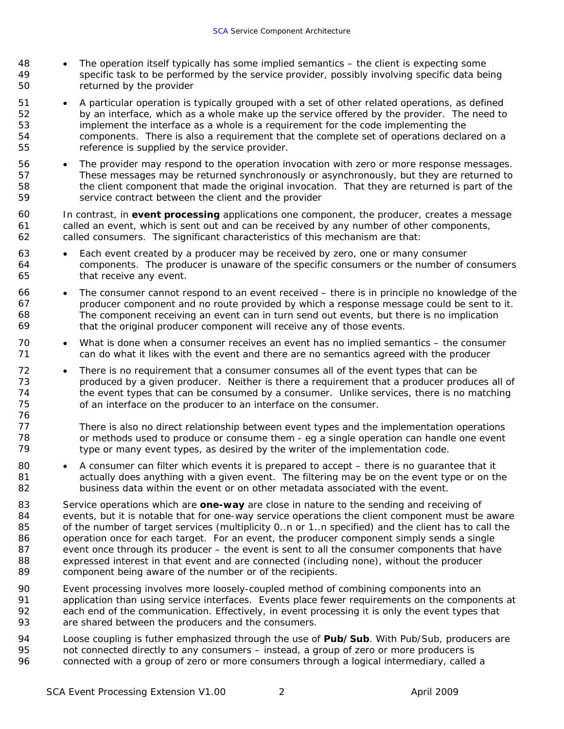- 48 49 50 • The operation itself typically has some implied semantics – the client is expecting some specific task to be performed by the service provider, possibly involving specific data being returned by the provider
- 51 52 53 54 55 • A particular operation is typically grouped with a set of other related operations, as defined by an interface, which as a whole make up the service offered by the provider. The need to implement the interface as a whole is a requirement for the code implementing the components. There is also a requirement that the complete set of operations declared on a reference is supplied by the service provider.
- 56 57 58 59 • The provider may respond to the operation invocation with zero or more response messages. These messages may be returned synchronously or asynchronously, but they are returned to the client component that made the original invocation. That they are returned is part of the service contract between the client and the provider
- 60 61 62 In contrast, in **event processing** applications one component, the producer, creates a message called an event, which is sent out and can be received by any number of other components, called consumers. The significant characteristics of this mechanism are that:
- 63 64 65 Each event created by a producer may be received by zero, one or many consumer components. The producer is unaware of the specific consumers or the number of consumers that receive any event.
- 66 67 68 69 • The consumer cannot respond to an event received – there is in principle no knowledge of the producer component and no route provided by which a response message could be sent to it. The component receiving an event can in turn send out events, but there is no implication that the original producer component will receive any of those events.
- 70 71 What is done when a consumer receives an event has no implied semantics – the consumer can do what it likes with the event and there are no semantics agreed with the producer
- 72 73 74 75 • There is no requirement that a consumer consumes all of the event types that can be produced by a given producer. Neither is there a requirement that a producer produces all of the event types that can be consumed by a consumer. Unlike services, there is no matching of an interface on the producer to an interface on the consumer.
- 77 78 79 There is also no direct relationship between event types and the implementation operations or methods used to produce or consume them - eg a single operation can handle one event type or many event types, as desired by the writer of the implementation code.
- 80 81 82 • A consumer can filter which events it is prepared to accept – there is no guarantee that it actually does anything with a given event. The filtering may be on the event type or on the business data within the event or on other metadata associated with the event.
- 83 84 85 86 87 88 89 Service operations which are *one-way* are close in nature to the sending and receiving of events, but it is notable that for one-way service operations the client component must be aware of the number of target services (multiplicity 0..n or 1..n specified) and the client has to call the operation once for each target. For an event, the producer component simply sends a single event once through its producer – the event is sent to all the consumer components that have expressed interest in that event and are connected (including none), without the producer component being aware of the number or of the recipients.
- 90 91 92 93 Event processing involves more loosely-coupled method of combining components into an application than using service interfaces. Events place fewer requirements on the components at each end of the communication. Effectively, in event processing it is only the event types that are shared between the producers and the consumers.
- 94 95 96 Loose coupling is futher emphasized through the use of *Pub/Sub*. With Pub/Sub, producers are not connected directly to any consumers – instead, a group of zero or more producers is connected with a group of zero or more consumers through a logical intermediary, called a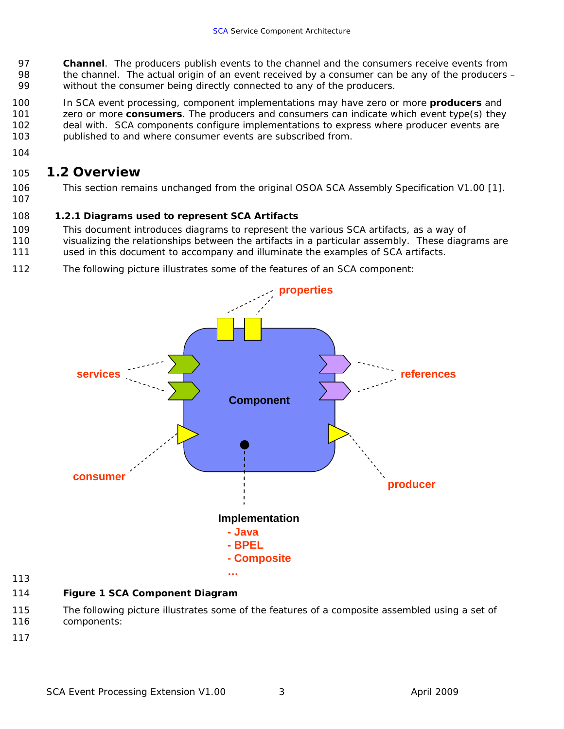- <span id="page-8-0"></span>97 98 99 *Channel*. The producers publish events to the channel and the consumers receive events from the channel. The actual origin of an event received by a consumer can be any of the producers – without the consumer being directly connected to any of the producers.
- 100 101 102 103 In SCA event processing, component implementations may have zero or more *producers* and zero or more *consumers*. The producers and consumers can indicate which event type(s) they deal with. SCA components configure implementations to express where producer events are published to and where consumer events are subscribed from.
- 104

### 105 *1.2 Overview*

- 106 This section remains unchanged from the original OSOA SCA Assembly Specification V1.00 [1].
- 107

#### 108 **1.2.1 Diagrams used to represent SCA Artifacts**

- 109 This document introduces diagrams to represent the various SCA artifacts, as a way of
- 110 visualizing the relationships between the artifacts in a particular assembly. These diagrams are
- 111 used in this document to accompany and illuminate the examples of SCA artifacts.
- 112 The following picture illustrates some of the features of an SCA component:



113

#### 114 **Figure 1 SCA Component Diagram**

- 115 116 The following picture illustrates some of the features of a composite assembled using a set of components:
- 117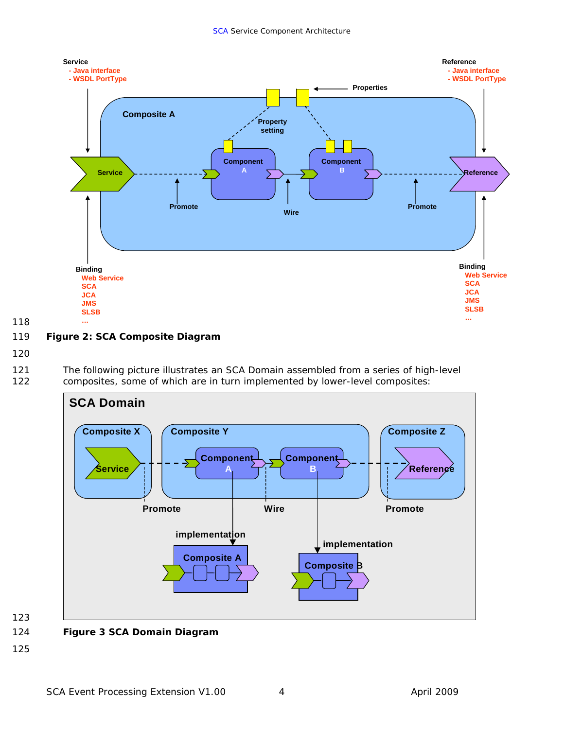

119 **Figure 2: SCA Composite Diagram** 

120

118

121 122 The following picture illustrates an SCA Domain assembled from a series of high-level composites, some of which are in turn implemented by lower-level composites:



123 124

## **Figure 3 SCA Domain Diagram**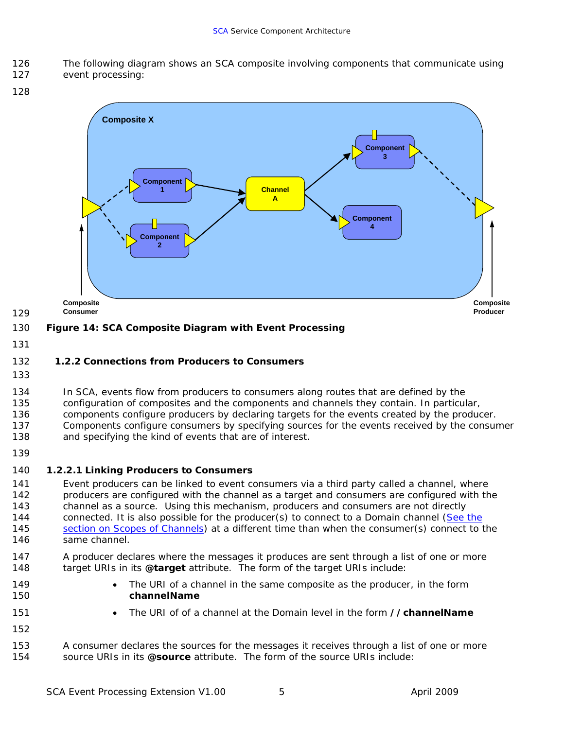<span id="page-10-0"></span>126 The following diagram shows an SCA composite involving components that communicate using

127 event processing:

128



#### 130 **Figure 14: SCA Composite Diagram with Event Processing**

131

#### 132 **1.2.2 Connections from Producers to Consumers**

133

134 In SCA, events flow from producers to consumers along routes that are defined by the

135 configuration of composites and the components and channels they contain. In particular,

136 137 components configure producers by declaring targets for the events created by the producer. Components configure consumers by specifying sources for the events received by the consumer

- 138 and specifying the kind of events that are of interest.
- 139

### 140 *1.2.2.1 Linking Producers to Consumers*

141 142 143 Event producers can be linked to event consumers via a third party called a channel, where producers are configured with the channel as a target and consumers are configured with the channel as a source. Using this mechanism, producers and consumers are not directly 144 connected. It is also possible for the producer(s) to connect to a Domain channel [\(See the](#page-30-0)  [section on Scopes of Channels](#page-30-0)) at a different time than when the consumer(s) connect to the same channel. 145 146

147 148 A producer declares where the messages it produces are sent through a list of one or more target URIs in its *@target* attribute. The form of the target URIs include:

- The URI of a channel in the same composite as the producer, in the form *channelName*
	- The URI of of a channel at the Domain level in the form *//channelName*
- 151 152

149 150

153 154 A consumer declares the sources for the messages it receives through a list of one or more source URIs in its *@source* attribute. The form of the source URIs include: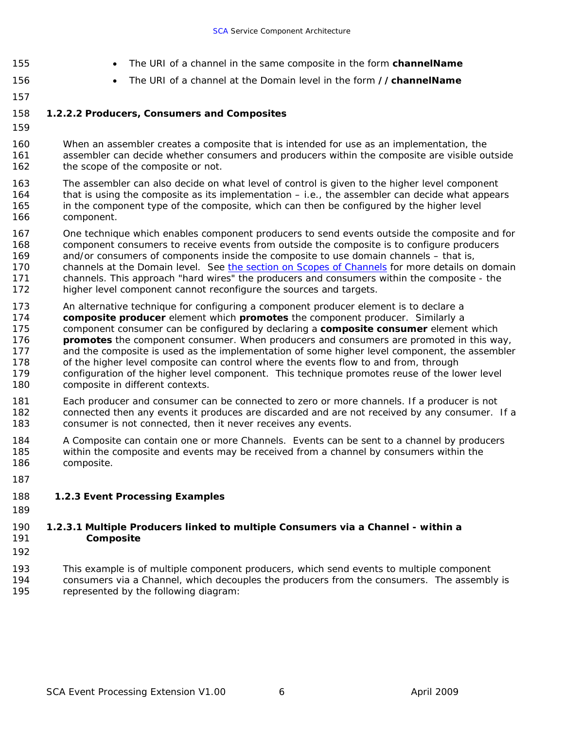- The URI of a channel in the same composite in the form *channelName*
- <span id="page-11-0"></span>155
- The URI of a channel at the Domain level in the form *//channelName*
- 156 157

### 158 *1.2.2.2 Producers, Consumers and Composites*

159

160 161 162 When an assembler creates a composite that is intended for use as an implementation, the assembler can decide whether consumers and producers within the composite are visible outside the scope of the composite or not.

163 164 165 166 The assembler can also decide on what level of control is given to the higher level component that is using the composite as its implementation – i.e., the assembler can decide what appears in the component type of the composite, which can then be configured by the higher level component.

- 167 168 169 One technique which enables component producers to send events outside the composite and for component consumers to receive events from outside the composite is to configure producers and/or consumers of components inside the composite to use domain channels – that is, channels at the Domain level. See [the section on Scopes of Channels](#page-30-0) for more details on domain channels. This approach "hard wires" the producers and consumers within the composite - the higher level component cannot reconfigure the sources and targets. 170 171 172
- 173 174 175 176 177 178 179 180 An alternative technique for configuring a component producer element is to declare a *composite producer* element which *promotes* the component producer. Similarly a component consumer can be configured by declaring a *composite consumer* element which *promotes* the component consumer. When producers and consumers are promoted in this way, and the composite is used as the implementation of some higher level component, the assembler of the higher level composite can control where the events flow to and from, through configuration of the higher level component. This technique promotes reuse of the lower level composite in different contexts.
- 181 182 183 Each producer and consumer can be connected to zero or more channels. If a producer is not connected then any events it produces are discarded and are not received by any consumer. If a consumer is not connected, then it never receives any events.
- 184 185 186 A Composite can contain one or more Channels. Events can be sent to a channel by producers within the composite and events may be received from a channel by consumers within the composite.
- 187

#### 188 **1.2.3 Event Processing Examples**

189

#### 191 190 *1.2.3.1 Multiple Producers linked to multiple Consumers via a Channel - within a Composite*

192

193 194 195 This example is of multiple component producers, which send events to multiple component consumers via a Channel, which decouples the producers from the consumers. The assembly is represented by the following diagram: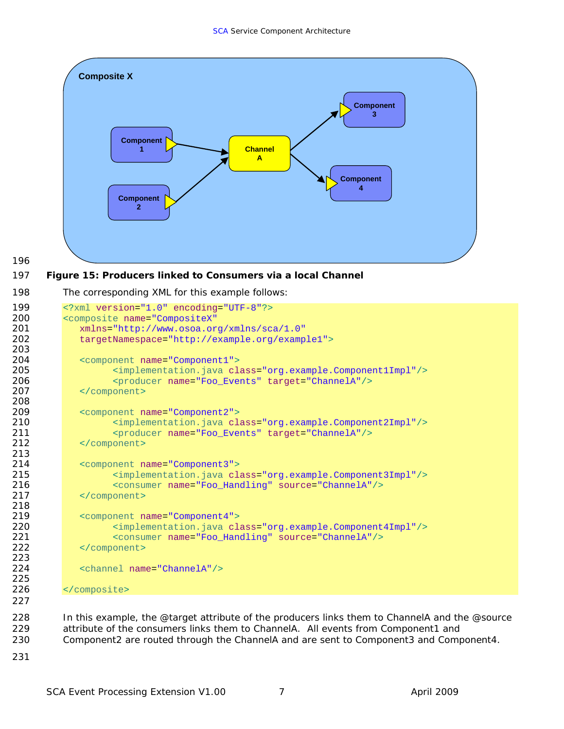

```
196
```
#### 197 **Figure 15: Producers linked to Consumers via a local Channel**

```
198 
          The corresponding XML for this example follows:
```

```
199 <?xml version="1.0" encoding="UTF-8"?><br>200 <composite name="CompositeX"
200 <composite name="CompositeX"<br>201 xmlns="http://www.osoa.or
201 xmlns="http://www.osoa.org/xmlns/sca/1.0"
              202 targetNamespace="http://example.org/example1">
203 
204 <component name="Component1">
205 <implementation.java class="org.example.Component1Impl"/><br>206 - <br/> <producer name="Foo Events" target="ChannelA"/>
                     206 <producer name="Foo_Events" target="ChannelA"/>
207 </component>
208 
209 <component name="Component2">
210 <implementation.java class="org.example.Component2Impl"/>
211 <producer name="Foo_Events" target="ChannelA"/><br>212 </component>
              </component>
213 
214 <component name="Component3">
215 > \langle \text{implementation.java class} = \text{org example.} \text{Component3Impl} \rangle > 216 > \langle \text{consumer name} = \text{Proof} \text{Handler} \text{ source} = \text{ChannelA} \rangle > 216216 <consumer name="Foo_Handling" source="ChannelA"/><br>217 </component>
              </component>
218 
219 <component name="Component4">
220 <implementation.java class="org.example.Component4Impl"/>
221 <consumer name="Foo_Handling" source="ChannelA"/><br>222 </component>
              </component>
223 
224 <channel name="ChannelA"/>
225 
226 </composite>
227
```
228 229 230 In this example, the @target attribute of the producers links them to ChannelA and the @source attribute of the consumers links them to ChannelA. All events from Component1 and Component2 are routed through the ChannelA and are sent to Component3 and Component4.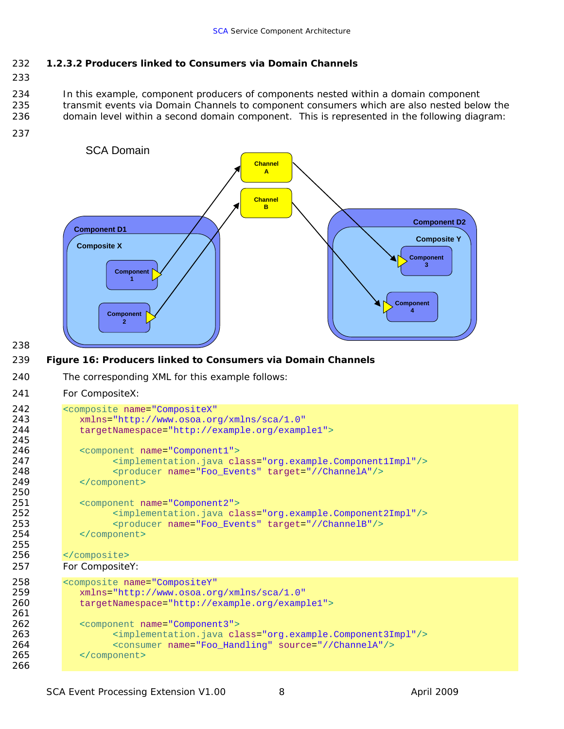### <span id="page-13-0"></span>232 *1.2.3.2 Producers linked to Consumers via Domain Channels*

233

234 235 236 In this example, component producers of components nested within a domain component transmit events via Domain Channels to component consumers which are also nested below the domain level within a second domain component. This is represented in the following diagram:

237



238

#### 239 **Figure 16: Producers linked to Consumers via Domain Channels**

240 The corresponding XML for this example follows:

#### 241 For CompositeX:

```
242 <composite name="CompositeX"
243 xmlns="http://www.osoa.org/xmlns/sca/1.0"<br>244 targetNamespace="http://example.org/examp
              244 targetNamespace="http://example.org/example1">
245 
246 <component name="Component1">
247 <implementation.java class="org.example.Component1Impl"/>
248 <producer name="Foo_Events" target="//ChannelA"/><br>249 </component>
              </component>
250 
251 <component name="Component2">
252 > \langleimplementation.java class="org.example.Component2Impl"/><br>253 > <producer name="Foo Events" target="//ChannelB"/>
253 <producer name="Foo_Events" target="//ChannelB"/><br>254 </component>
              </component>
255 
256 </composite>
257 For CompositeY: 
258 <composite name="CompositeY"
259 xmlns="http://www.osoa.org/xmlns/sca/1.0"
              targetNamespace="http://example.org/example1">
261 
262 <component name="Component3">
263 > \langle \text{implementation.java class="org.example.com} \rangle<br>264 > \langle \text{consumer name="Foo Handling" source="//ChannelA*/\rangle}264 <consumer name="Foo_Handling" source="//ChannelA"/><br>265 </component>
              </component>
266
```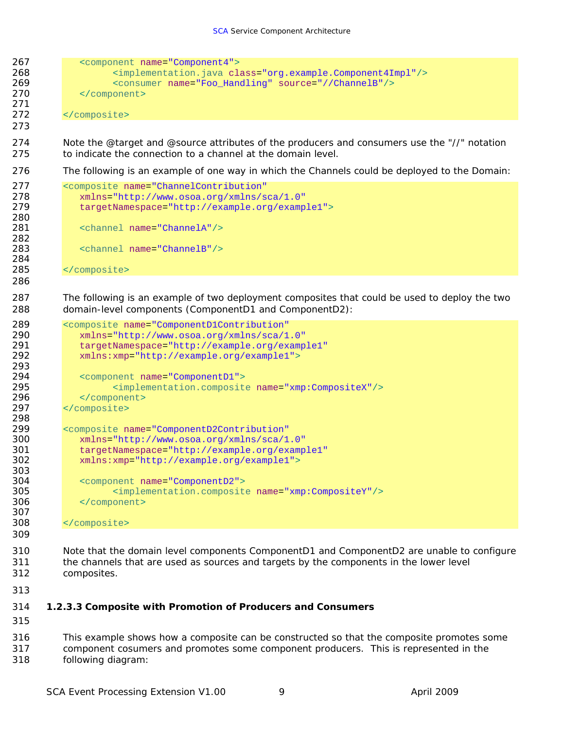<span id="page-14-0"></span>

```
298 
299 <composite name="ComponentD2Contribution"
300 xmlns="http://www.osoa.org/xmlns/sca/1.0"
301 targetNamespace="http://example.org/example1"
          302 xmlns:xmp="http://example.org/example1">
303 
304 <component name="ComponentD2">
305 <implementation.composite name="xmp:CompositeY"/>
          </component>
```

```
308 </composite>
```
 Note that the domain level components ComponentD1 and ComponentD2 are unable to configure the channels that are used as sources and targets by the components in the lower level composites.

### *1.2.3.3 Composite with Promotion of Producers and Consumers*

 This example shows how a composite can be constructed so that the composite promotes some component cosumers and promotes some component producers. This is represented in the following diagram: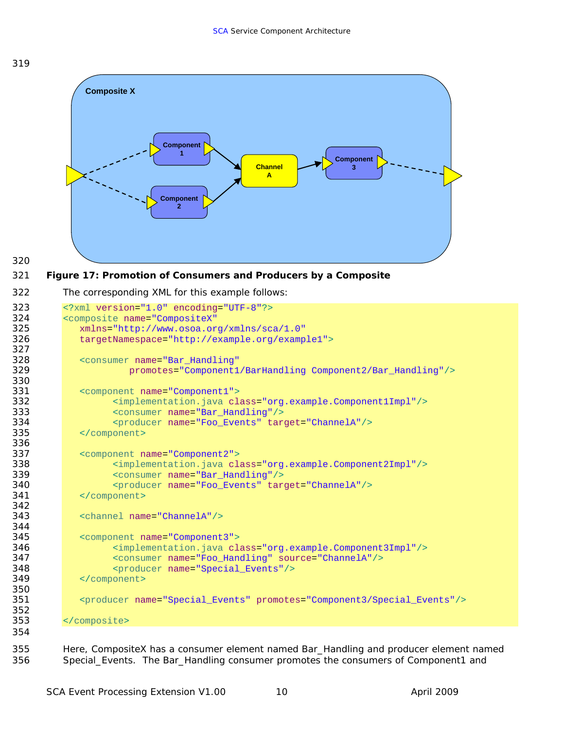



```
320 
321 
322 
     Figure 17: Promotion of Consumers and Producers by a Composite 
        The corresponding XML for this example follows: 
323 <?xml version="1.0" encoding="UTF-8"?>
324 <composite name="CompositeX"
325 xmlns="http://www.osoa.org/xmlns/sca/1.0"
           326 targetNamespace="http://example.org/example1">
327 
328 <consumer name="Bar_Handling" 
                   329 promotes="Component1/BarHandling Component2/Bar_Handling"/>
330 
331 <component name="Component1">
332 <implementation.java class="org.example.Component1Impl"/>
333 <consumer name="Bar_Handling"/>
334 <producer name="Foo_Events" target="ChannelA"/>
           335 </component>
336 
337 <component name="Component2">
338 <implementation.java class="org.example.Component2Impl"/>
339 <consumer name="Bar_Handling"/>
                340 <producer name="Foo_Events" target="ChannelA"/>
341 </component> 
342 
343 <channel name="ChannelA"/>
344 
345 <component name="Component3">
346 <implementation.java class="org.example.Component3Impl"/>
                347 <consumer name="Foo_Handling" source="ChannelA"/>
348 <producer name="Special_Events"/><br>349 </component>
           349 </component>
350 
351 <producer name="Special_Events" promotes="Component3/Special_Events"/>
352 
353 </composite>
354
```
 Here, CompositeX has a consumer element named Bar\_Handling and producer element named Special\_Events. The Bar\_Handling consumer promotes the consumers of Component1 and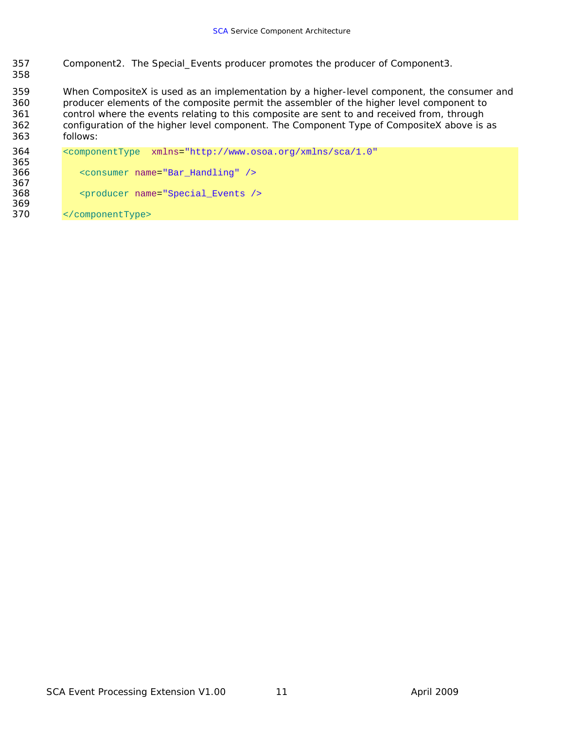- Component2. The Special\_Events producer promotes the producer of Component3.
- When CompositeX is used as an implementation by a higher-level component, the consumer and producer elements of the composite permit the assembler of the higher level component to control where the events relating to this composite are sent to and received from, through configuration of the higher level component. The Component Type of CompositeX above is as follows:

| 364 | $\sim$ component Type $xmlns="http://www.osoa.org/xmlns/sca/1.0"$ |
|-----|-------------------------------------------------------------------|
| 365 |                                                                   |
| 366 | <consumer name="Bar Handling"></consumer>                         |
| 367 |                                                                   |
| 368 | <producer name="Special Events />                                 |
| 369 |                                                                   |
| 370 |                                                                   |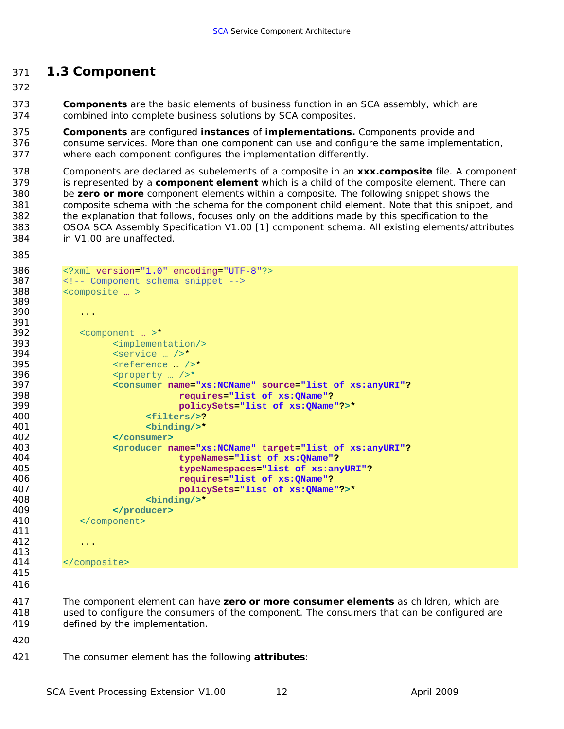### <span id="page-17-0"></span>*1.3 Component*

 *Components* are the basic elements of business function in an SCA assembly, which are combined into complete business solutions by SCA composites.

 *Components* are configured *instances* of *implementations.* Components provide and consume services. More than one component can use and configure the same implementation, where each component configures the implementation differently.

 Components are declared as subelements of a composite in an *xxx.composite* file. A component is represented by a *component element* which is a child of the composite element. There can be *zero or more* component elements within a composite. The following snippet shows the composite schema with the schema for the component child element. Note that this snippet, and the explanation that follows, focuses only on the additions made by this specification to the OSOA SCA Assembly Specification V1.00 [1] component schema. All existing elements/attributes in V1.00 are unaffected.

```
386 <?xml version="1.0" encoding="UTF-8"?><br>387 <!-- Component schema snippet -->
         387 <!-- Component schema snippet -->
388 <composite … > 
389 
390 ...
391 
392 <component ... >*<br>393 <component ...
393 \langle \text{implementation/>}\rangle<br>394 \langle \text{service}/\rangle394 \le 58 \le 58 \le 58 \le 58 \le 58 \le 58 \le 58 \le 58 \le 58 \le 58 \le 58 \le 58 \le 58 \le 58 \le 58 \le 58 \le 58 \le 58 \le 58 \le 58 \le 58 \le 
                  395 <reference … />*
396 \frac{396}{397} \frac{5}{100} \frac{397}{397}397 <consumer name="xs:NCName" source="list of xs:anyURI"?
                               398 requires="list of xs:QName"?
399 policySets="list of xs:QName"?>*
                         400 <filters/>?
401 <binding/>*
402 </consumer> 
403 <producer name="xs:NCName" target="list of xs:anyURI"? 
                               404 typeNames="list of xs:QName"? 
405 typeNamespaces="list of xs:anyURI"? 
406 requires="list of xs:QName"? 
407 policySets="list of xs:QName"?>*
408 <binding/>*
409 </producer> 
            </component>
411 
412 ...
413 
414 </composite> 
415 
416
```
 The component element can have *zero or more consumer elements* as children, which are used to configure the consumers of the component. The consumers that can be configured are defined by the implementation.

- 
- The consumer element has the following *attributes*: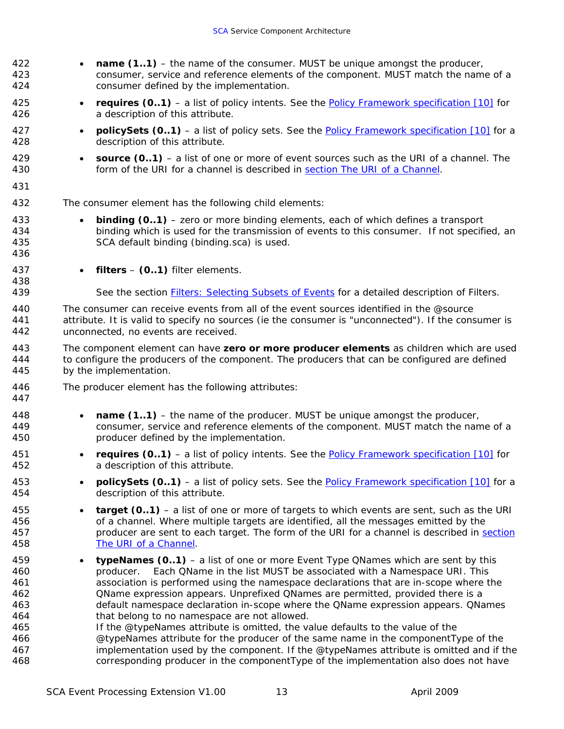| 422<br>423<br>424                                                  | $\bullet$ | name (11) – the name of the consumer. MUST be unique amongst the producer,<br>consumer, service and reference elements of the component. MUST match the name of a<br>consumer defined by the implementation.                                                                                                                                                                                                                                                                                                                                                                                                                                                                                                                                                                                                                                            |
|--------------------------------------------------------------------|-----------|---------------------------------------------------------------------------------------------------------------------------------------------------------------------------------------------------------------------------------------------------------------------------------------------------------------------------------------------------------------------------------------------------------------------------------------------------------------------------------------------------------------------------------------------------------------------------------------------------------------------------------------------------------------------------------------------------------------------------------------------------------------------------------------------------------------------------------------------------------|
| 425<br>426                                                         | $\bullet$ | <i>requires (01)</i> – a list of policy intents. See the <b>Policy Framework</b> specification $[10]$ for<br>a description of this attribute.                                                                                                                                                                                                                                                                                                                                                                                                                                                                                                                                                                                                                                                                                                           |
| 427<br>428                                                         | $\bullet$ | <b>policySets (01)</b> – a list of policy sets. See the <b>Policy Framework</b> specification [10] for a<br>description of this attribute.                                                                                                                                                                                                                                                                                                                                                                                                                                                                                                                                                                                                                                                                                                              |
| 429<br>430                                                         | $\bullet$ | source $(01)$ – a list of one or more of event sources such as the URI of a channel. The<br>form of the URI for a channel is described in section The URI of a Channel.                                                                                                                                                                                                                                                                                                                                                                                                                                                                                                                                                                                                                                                                                 |
| 431                                                                |           |                                                                                                                                                                                                                                                                                                                                                                                                                                                                                                                                                                                                                                                                                                                                                                                                                                                         |
| 432                                                                |           | The consumer element has the following child elements:                                                                                                                                                                                                                                                                                                                                                                                                                                                                                                                                                                                                                                                                                                                                                                                                  |
| 433<br>434<br>435<br>436                                           | $\bullet$ | <b>binding (01)</b> – zero or more binding elements, each of which defines a transport<br>binding which is used for the transmission of events to this consumer. If not specified, an<br>SCA default binding (binding.sca) is used.                                                                                                                                                                                                                                                                                                                                                                                                                                                                                                                                                                                                                     |
| 437<br>438                                                         |           | $filters - (0.1)$ filter elements.                                                                                                                                                                                                                                                                                                                                                                                                                                                                                                                                                                                                                                                                                                                                                                                                                      |
| 439                                                                |           | See the section <b>Filters: Selecting Subsets of Events</b> for a detailed description of Filters.                                                                                                                                                                                                                                                                                                                                                                                                                                                                                                                                                                                                                                                                                                                                                      |
| 440<br>441<br>442                                                  |           | The consumer can receive events from all of the event sources identified in the @source<br>attribute. It is valid to specify no sources (ie the consumer is "unconnected"). If the consumer is<br>unconnected, no events are received.                                                                                                                                                                                                                                                                                                                                                                                                                                                                                                                                                                                                                  |
| 443<br>444<br>445                                                  |           | The component element can have zero or more producer elements as children which are used<br>to configure the producers of the component. The producers that can be configured are defined<br>by the implementation.                                                                                                                                                                                                                                                                                                                                                                                                                                                                                                                                                                                                                                     |
| 446<br>447                                                         |           | The producer element has the following attributes:                                                                                                                                                                                                                                                                                                                                                                                                                                                                                                                                                                                                                                                                                                                                                                                                      |
| 448<br>449<br>450                                                  | $\bullet$ | <i>name <math>(1.1)</math> – the name of the producer. MUST be unique amongst the producer,</i><br>consumer, service and reference elements of the component. MUST match the name of a<br>producer defined by the implementation.                                                                                                                                                                                                                                                                                                                                                                                                                                                                                                                                                                                                                       |
| 451<br>452                                                         | $\bullet$ | <b>requires (01)</b> – a list of policy intents. See the <b>Policy Framework</b> specification $[10]$ for<br>a description of this attribute.                                                                                                                                                                                                                                                                                                                                                                                                                                                                                                                                                                                                                                                                                                           |
| 453<br>454                                                         |           | <b>policySets (01)</b> – a list of policy sets. See the <b>Policy Framework</b> specification [10] for a<br>description of this attribute.                                                                                                                                                                                                                                                                                                                                                                                                                                                                                                                                                                                                                                                                                                              |
| 455<br>456<br>457<br>458                                           | $\bullet$ | <b>target (01)</b> – a list of one or more of targets to which events are sent, such as the URI<br>of a channel. Where multiple targets are identified, all the messages emitted by the<br>producer are sent to each target. The form of the URI for a channel is described in section<br>The URI of a Channel.                                                                                                                                                                                                                                                                                                                                                                                                                                                                                                                                         |
| 459<br>460<br>461<br>462<br>463<br>464<br>465<br>466<br>467<br>468 | $\bullet$ | <b>typeNames (01)</b> – a list of one or more Event Type QNames which are sent by this<br>Each QName in the list MUST be associated with a Namespace URI. This<br>producer.<br>association is performed using the namespace declarations that are in-scope where the<br>QName expression appears. Unprefixed QNames are permitted, provided there is a<br>default namespace declaration in-scope where the QName expression appears. QNames<br>that belong to no namespace are not allowed.<br>If the @typeNames attribute is omitted, the value defaults to the value of the<br>@typeNames attribute for the producer of the same name in the componentType of the<br>implementation used by the component. If the @typeNames attribute is omitted and if the<br>corresponding producer in the component Type of the implementation also does not have |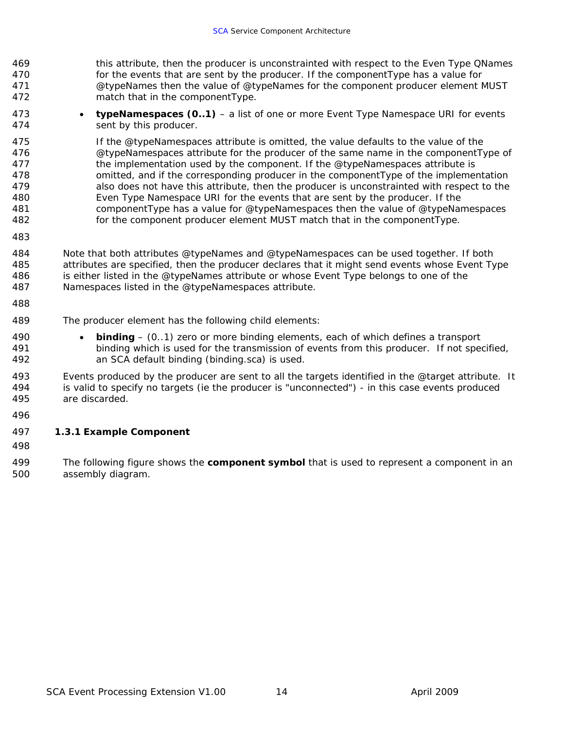<span id="page-19-0"></span>469 470 471 472 this attribute, then the producer is unconstrainted with respect to the Even Type QNames for the events that are sent by the producer. If the componentType has a value for @typeNames then the value of @typeNames for the component producer element MUST match that in the componentType.

473 474 • *typeNamespaces (0..1)* – a list of one or more Event Type Namespace URI for events sent by this producer.

475 476 477 478 479 480 481 482 If the @typeNamespaces attribute is omitted, the value defaults to the value of the @typeNamespaces attribute for the producer of the same name in the componentType of the implementation used by the component. If the @typeNamespaces attribute is omitted, and if the corresponding producer in the componentType of the implementation also does not have this attribute, then the producer is unconstrainted with respect to the Even Type Namespace URI for the events that are sent by the producer. If the componentType has a value for @typeNamespaces then the value of @typeNamespaces for the component producer element MUST match that in the componentType.

483

484 485 486 487 Note that both attributes @typeNames and @typeNamespaces can be used together. If both attributes are specified, then the producer declares that it might send events whose Event Type is either listed in the @typeNames attribute or whose Event Type belongs to one of the Namespaces listed in the @typeNamespaces attribute.

488

490 491 492

489 The producer element has the following child elements:

> • *binding* – (0..1) zero or more binding elements, each of which defines a transport binding which is used for the transmission of events from this producer. If not specified, an SCA default binding (binding.sca) is used.

493 494 495 Events produced by the producer are sent to all the targets identified in the @target attribute. It is valid to specify no targets (ie the producer is "unconnected") - in this case events produced are discarded.

496

#### 497 **1.3.1 Example Component**

498

499 500 The following figure shows the *component symbol* that is used to represent a component in an assembly diagram.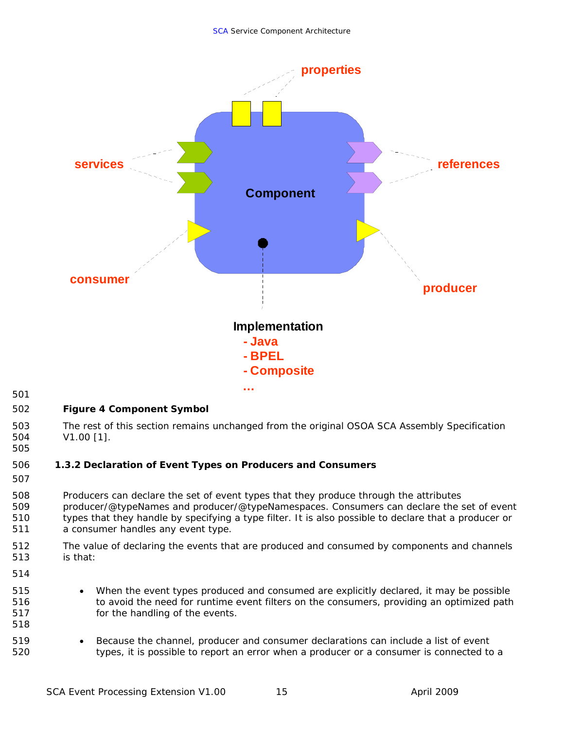<span id="page-20-0"></span>

501

#### 502 **Figure 4 Component Symbol**

503 504 The rest of this section remains unchanged from the original OSOA SCA Assembly Specification V1.00 [1].

#### 506 **1.3.2 Declaration of Event Types on Producers and Consumers**

507

505

- 508 509 510 511 Producers can declare the set of event types that they produce through the attributes producer/@typeNames and producer/@typeNamespaces. Consumers can declare the set of event types that they handle by specifying a type filter. It is also possible to declare that a producer or a consumer handles any event type.
- 512 513 The value of declaring the events that are produced and consumed by components and channels is that:
- 514 515

- When the event types produced and consumed are explicitly declared, it may be possible to avoid the need for runtime event filters on the consumers, providing an optimized path for the handling of the events.
- Because the channel, producer and consumer declarations can include a list of event types, it is possible to report an error when a producer or a consumer is connected to a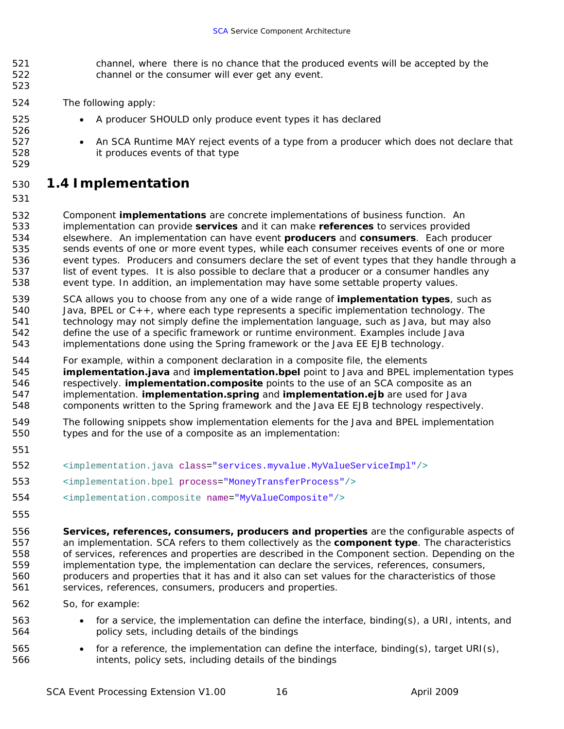- <span id="page-21-0"></span>521 522 channel, where there is no chance that the produced events will be accepted by the channel or the consumer will ever get any event.
- 524 The following apply:
	- A producer SHOULD only produce event types it has declared
	- An SCA Runtime MAY reject events of a type from a producer which does not declare that it produces events of that type

### 530 *1.4 Implementation*

531

523

532 533 534 535 536 537 538 Component *implementations* are concrete implementations of business function. An implementation can provide *services* and it can make *references* to services provided elsewhere. An implementation can have event *producers* and *consumers*. Each producer sends events of one or more event types, while each consumer receives events of one or more event types. Producers and consumers declare the set of event types that they handle through a list of event types. It is also possible to declare that a producer or a consumer handles any event type. In addition, an implementation may have some settable property values.

- 539 540 541 542 543 SCA allows you to choose from any one of a wide range of *implementation types*, such as Java, BPEL or C++, where each type represents a specific implementation technology. The technology may not simply define the implementation language, such as Java, but may also define the use of a specific framework or runtime environment. Examples include Java implementations done using the Spring framework or the Java EE EJB technology.
- 544 545 546 547 548 For example, within a component declaration in a composite file, the elements *implementation.java* and *implementation.bpel* point to Java and BPEL implementation types respectively. *implementation.composite* points to the use of an SCA composite as an implementation. *implementation.spring* and *implementation.ejb* are used for Java components written to the Spring framework and the Java EE EJB technology respectively.
- 549 550 The following snippets show implementation elements for the Java and BPEL implementation types and for the use of a composite as an implementation:
- 551
- 552 <implementation.java class="services.myvalue.MyValueServiceImpl"/>
- 553 <implementation.bpel process="MoneyTransferProcess"/>
- 554 <implementation.composite name="MyValueComposite"/>
- 555

- 556 557 558 559 560 561 **Services, references, consumers, producers and properties** are the configurable aspects of an implementation. SCA refers to them collectively as the *component type*. The characteristics of services, references and properties are described in the Component section. Depending on the implementation type, the implementation can declare the services, references, consumers, producers and properties that it has and it also can set values for the characteristics of those services, references, consumers, producers and properties.
- 562 So, for example:
	- for a service, the implementation can define the interface, binding(s), a URI, intents, and policy sets, including details of the bindings
- 565 566 • for a reference, the implementation can define the interface, binding(s), target URI(s), intents, policy sets, including details of the bindings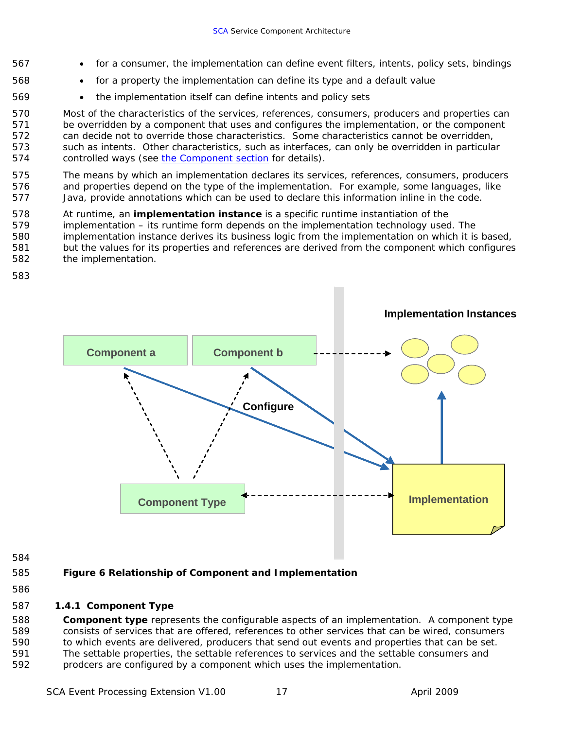- <span id="page-22-0"></span>567 for a consumer, the implementation can define event filters, intents, policy sets, bindings
	- for a property the implementation can define its type and a default value
		- the implementation itself can define intents and policy sets

570 571 572 573 Most of the characteristics of the services, references, consumers, producers and properties can be overridden by a component that uses and configures the implementation, or the component can decide not to override those characteristics. Some characteristics cannot be overridden, such as intents. Other characteristics, such as interfaces, can only be overridden in particular 574 controlled ways (see [the Component section](#page-17-0) for details).

575 576 577 The means by which an implementation declares its services, references, consumers, producers and properties depend on the type of the implementation. For example, some languages, like Java, provide annotations which can be used to declare this information inline in the code.

- 578 At runtime, an *implementation instance* is a specific runtime instantiation of the
- 579 580 581 implementation – its runtime form depends on the implementation technology used. The implementation instance derives its business logic from the implementation on which it is based, but the values for its properties and references are derived from the component which configures
- 582 the implementation.
- 583

568 569



584

#### 585 **Figure 6 Relationship of Component and Implementation**

586

#### 587 **1.4.1 Component Type**

588 589 590 591 592 *Component type* represents the configurable aspects of an implementation. A component type consists of services that are offered, references to other services that can be wired, consumers to which events are delivered, producers that send out events and properties that can be set. The settable properties, the settable references to services and the settable consumers and prodcers are configured by a component which uses the implementation.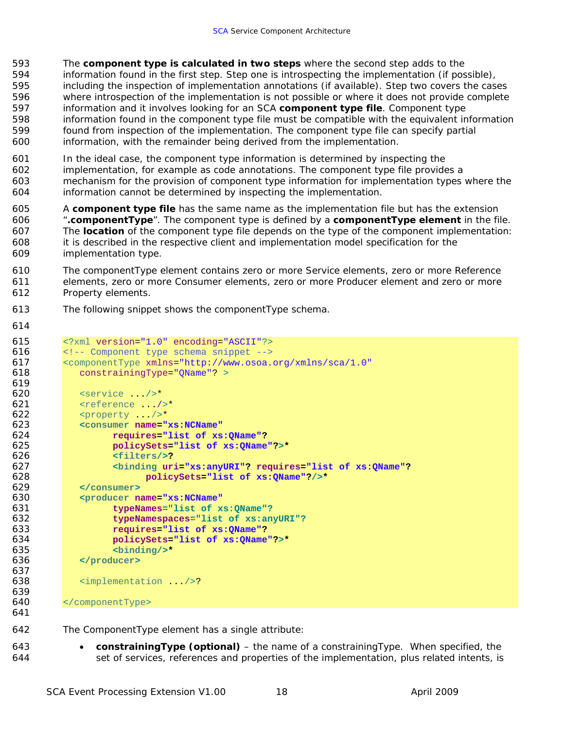- The **component type is calculated in two steps** where the second step adds to the information found in the first step. Step one is introspecting the implementation (if possible), including the inspection of implementation annotations (if available). Step two covers the cases where introspection of the implementation is not possible or where it does not provide complete information and it involves looking for an SCA **component type file**. Component type information found in the component type file must be compatible with the equivalent information found from inspection of the implementation. The component type file can specify partial information, with the remainder being derived from the implementation.
- In the ideal case, the component type information is determined by inspecting the implementation, for example as code annotations. The component type file provides a mechanism for the provision of component type information for implementation types where the information cannot be determined by inspecting the implementation.
- A **component type file** has the same name as the implementation file but has the extension "**.componentType**". The component type is defined by a **componentType element** in the file. The **location** of the component type file depends on the type of the component implementation: it is described in the respective client and implementation model specification for the implementation type.
- The componentType element contains zero or more Service elements, zero or more Reference elements, zero or more Consumer elements, zero or more Producer element and zero or more Property elements.
- The following snippet shows the componentType schema.
- 

```
615 <?xml version="1.0" encoding="ASCII"?> 
616 <!-- Component type schema snippet -->
617 <componentType xmlns="http://www.osoa.org/xmlns/sca/1.0"
618 constrainingType="QName"? > 
619 
620 <service .../>*<br>621 <reference .../
621 \leftarrow \leftarrow \leftarrow \leftarrow \leftarrow \leftarrow \leftarrow \leftarrow \leftarrow \leftarrow \leftarrow \leftarrow \leftarrow \leftarrow \leftarrow \leftarrow \leftarrow \leftarrow \leftarrow \leftarrow \leftarrow \leftarrow \leftarrow \leftarrow \leftarrow \leftarrow \leftarrow \leftarrow \leftarrow \leftarrow \leftarrow \leftarrow \leftarrow \leftarrow \leftarrow \leftarrow 622 <property .../>* 
623 <consumer name="xs:NCName"
624 requires="list of xs:QName"?
                      625 policySets="list of xs:QName"?>*
626 <filters/>?
627 <binding uri="xs:anyURI"? requires="list of xs:QName"?
628 policySets="list of xs:QName"?/>*
629 </consumer> 
630 <producer name="xs:NCName" 
631 typeNames="list of xs:QName"? 
                      632 typeNamespaces="list of xs:anyURI"?
633 requires="list of xs:QName"? 
634 policySets="list of xs:QName"?>*
635 <binding/>*
636 </producer> 
637 
638 <implementation .../>?
639 
640 </componentType> 
641
```
- The ComponentType element has a single attribute:
	- *constrainingType (optional)*  the name of a constrainingType. When specified, the set of services, references and properties of the implementation, plus related intents, is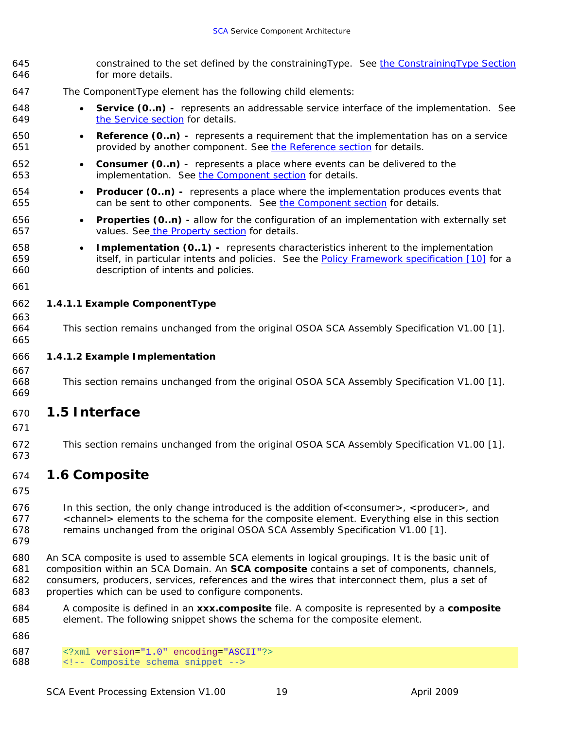<span id="page-24-0"></span>

| 645<br>646               | constrained to the set defined by the constraining Type. See the Constraining Type Section<br>for more details.                                                                                                                                                                                                                                          |  |
|--------------------------|----------------------------------------------------------------------------------------------------------------------------------------------------------------------------------------------------------------------------------------------------------------------------------------------------------------------------------------------------------|--|
| 647                      | The ComponentType element has the following child elements:                                                                                                                                                                                                                                                                                              |  |
| 648<br>649               | <b>Service (0.n)</b> - represents an addressable service interface of the implementation. See<br>$\bullet$<br>the Service section for details.                                                                                                                                                                                                           |  |
| 650<br>651               | <b>Reference (0n)</b> - represents a requirement that the implementation has on a service<br>provided by another component. See the Reference section for details.                                                                                                                                                                                       |  |
| 652<br>653               | <b>Consumer (0.n)</b> - represents a place where events can be delivered to the<br>$\bullet$<br>implementation. See the Component section for details.                                                                                                                                                                                                   |  |
| 654<br>655               | <b>Producer (0.n)</b> - represents a place where the implementation produces events that<br>$\bullet$<br>can be sent to other components. See the Component section for details.                                                                                                                                                                         |  |
| 656<br>657               | <b>Properties (0.n)</b> - allow for the configuration of an implementation with externally set<br>$\bullet$<br>values. See the Property section for details.                                                                                                                                                                                             |  |
| 658<br>659<br>660        | <b>Implementation (01)</b> - represents characteristics inherent to the implementation<br>$\bullet$<br>itself, in particular intents and policies. See the Policy Framework specification [10] for a<br>description of intents and policies.                                                                                                             |  |
| 661                      |                                                                                                                                                                                                                                                                                                                                                          |  |
| 662                      | 1.4.1.1 Example ComponentType                                                                                                                                                                                                                                                                                                                            |  |
| 663<br>664<br>665        | This section remains unchanged from the original OSOA SCA Assembly Specification V1.00 [1].                                                                                                                                                                                                                                                              |  |
| 666                      | 1.4.1.2 Example Implementation                                                                                                                                                                                                                                                                                                                           |  |
| 667<br>668<br>669        | This section remains unchanged from the original OSOA SCA Assembly Specification V1.00 [1].                                                                                                                                                                                                                                                              |  |
| 670<br>671               | 1.5 Interface                                                                                                                                                                                                                                                                                                                                            |  |
| 672<br>673               | This section remains unchanged from the original OSOA SCA Assembly Specification V1.00 [1].                                                                                                                                                                                                                                                              |  |
| 674<br>675               | 1.6 Composite                                                                                                                                                                                                                                                                                                                                            |  |
| 676<br>677<br>678<br>679 | In this section, the only change introduced is the addition of < consumer>, < producer>, and<br><channel> elements to the schema for the composite element. Everything else in this section<br/>remains unchanged from the original OSOA SCA Assembly Specification V1.00 [1].</channel>                                                                 |  |
| 680<br>681<br>682<br>683 | An SCA composite is used to assemble SCA elements in logical groupings. It is the basic unit of<br>composition within an SCA Domain. An SCA composite contains a set of components, channels,<br>consumers, producers, services, references and the wires that interconnect them, plus a set of<br>properties which can be used to configure components. |  |
| 684<br>685<br>686        | A composite is defined in an xxx.composite file. A composite is represented by a composite<br>element. The following snippet shows the schema for the composite element.                                                                                                                                                                                 |  |
|                          |                                                                                                                                                                                                                                                                                                                                                          |  |

687 <? xml version="1.0" encoding="ASCII"?><br>688 <!-- Composite schema snippet --> <!-- Composite schema snippet -->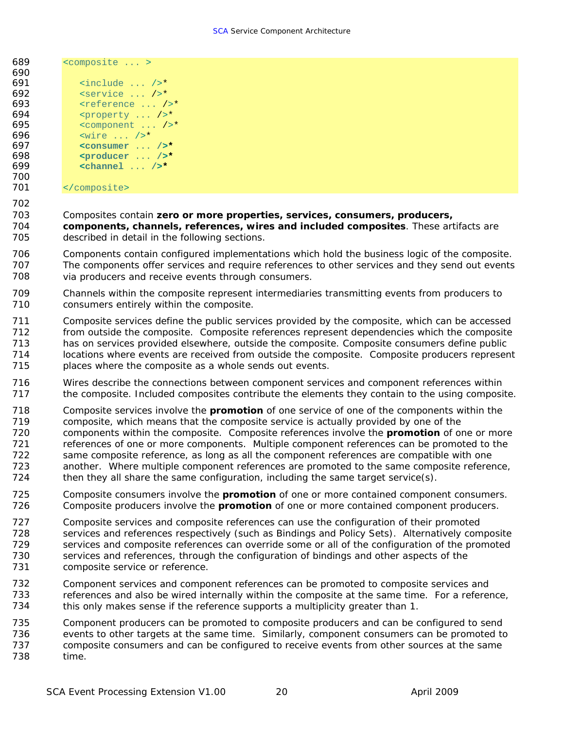- 689 <composite ... > 690  $\begin{array}{c|c|c|c|c} \n691 & \text{include } \dots & \text{--} \\
\hline\n692 & \text{sebruaric}} & \dots & \text{--} \\
\end{array}$ 692 <service ... />\* 693 <reference ... />\*  $694$  eproperty ...  $\frac{7}{5}$ <br> $695$  ecomponent ...  $\frac{7}{5}$ 695 <component ... />\*<br>696 <wire ... />\*  $696$   $\leq$   $\text{wire} \dots /$   $\geq$   $\bullet$   $\leq$   $\text{cosumer} \dots$ 697 **<consumer** ... **/>\***
- 698 **<producer** ... **/>\***  699 **<channel** ... **/>\*** 700
- 701 </composite>

702

#### 703 Composites contain *zero or more properties, services, consumers, producers,*

704 705 *components, channels, references, wires and included composites*. These artifacts are described in detail in the following sections.

- 706 707 708 Components contain configured implementations which hold the business logic of the composite. The components offer services and require references to other services and they send out events via producers and receive events through consumers.
- 709 710 Channels within the composite represent intermediaries transmitting events from producers to consumers entirely within the composite.
- 711 712 713 714 715 Composite services define the public services provided by the composite, which can be accessed from outside the composite. Composite references represent dependencies which the composite has on services provided elsewhere, outside the composite. Composite consumers define public locations where events are received from outside the composite. Composite producers represent places where the composite as a whole sends out events.
- 716 717 Wires describe the connections between component services and component references within the composite. Included composites contribute the elements they contain to the using composite.
- 718 719 720 721 722 723 724 Composite services involve the *promotion* of one service of one of the components within the composite, which means that the composite service is actually provided by one of the components within the composite. Composite references involve the *promotion* of one or more references of one or more components. Multiple component references can be promoted to the same composite reference, as long as all the component references are compatible with one another. Where multiple component references are promoted to the same composite reference, then they all share the same configuration, including the same target service(s).
- 725 726 Composite consumers involve the *promotion* of one or more contained component consumers. Composite producers involve the *promotion* of one or more contained component producers.
- 727 728 729 730 731 Composite services and composite references can use the configuration of their promoted services and references respectively (such as Bindings and Policy Sets). Alternatively composite services and composite references can override some or all of the configuration of the promoted services and references, through the configuration of bindings and other aspects of the composite service or reference.
- 732 733 734 Component services and component references can be promoted to composite services and references and also be wired internally within the composite at the same time. For a reference, this only makes sense if the reference supports a multiplicity greater than 1.
- 735 736 737 738 Component producers can be promoted to composite producers and can be configured to send events to other targets at the same time. Similarly, component consumers can be promoted to composite consumers and can be configured to receive events from other sources at the same time.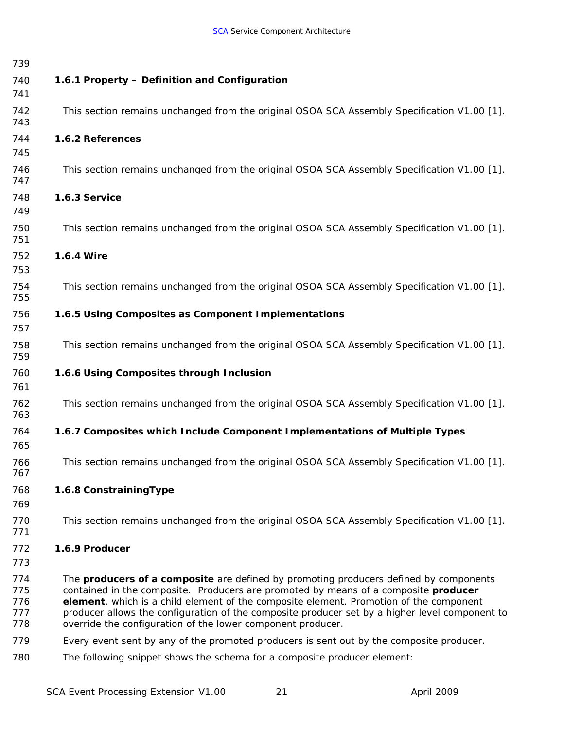<span id="page-26-0"></span>

| 739                             |                                                                                                                                                                                                                                                                                                                                                                                                                                                       |
|---------------------------------|-------------------------------------------------------------------------------------------------------------------------------------------------------------------------------------------------------------------------------------------------------------------------------------------------------------------------------------------------------------------------------------------------------------------------------------------------------|
| 740<br>741                      | 1.6.1 Property - Definition and Configuration                                                                                                                                                                                                                                                                                                                                                                                                         |
| 742<br>743                      | This section remains unchanged from the original OSOA SCA Assembly Specification V1.00 [1].                                                                                                                                                                                                                                                                                                                                                           |
| 744<br>745                      | 1.6.2 References                                                                                                                                                                                                                                                                                                                                                                                                                                      |
| 746<br>747                      | This section remains unchanged from the original OSOA SCA Assembly Specification V1.00 [1].                                                                                                                                                                                                                                                                                                                                                           |
| 748<br>749                      | 1.6.3 Service                                                                                                                                                                                                                                                                                                                                                                                                                                         |
| 750<br>751                      | This section remains unchanged from the original OSOA SCA Assembly Specification V1.00 [1].                                                                                                                                                                                                                                                                                                                                                           |
| 752<br>753                      | 1.6.4 Wire                                                                                                                                                                                                                                                                                                                                                                                                                                            |
| 754<br>755                      | This section remains unchanged from the original OSOA SCA Assembly Specification V1.00 [1].                                                                                                                                                                                                                                                                                                                                                           |
| 756<br>757                      | 1.6.5 Using Composites as Component Implementations                                                                                                                                                                                                                                                                                                                                                                                                   |
| 758<br>759                      | This section remains unchanged from the original OSOA SCA Assembly Specification V1.00 [1].                                                                                                                                                                                                                                                                                                                                                           |
| 760<br>761                      | 1.6.6 Using Composites through Inclusion                                                                                                                                                                                                                                                                                                                                                                                                              |
| 762<br>763                      | This section remains unchanged from the original OSOA SCA Assembly Specification V1.00 [1].                                                                                                                                                                                                                                                                                                                                                           |
| 764<br>765                      | 1.6.7 Composites which Include Component Implementations of Multiple Types                                                                                                                                                                                                                                                                                                                                                                            |
| 766<br>767                      | This section remains unchanged from the original OSOA SCA Assembly Specification V1.00 [1].                                                                                                                                                                                                                                                                                                                                                           |
| 768<br>769                      | 1.6.8 Constraining Type                                                                                                                                                                                                                                                                                                                                                                                                                               |
| 770<br>771                      | This section remains unchanged from the original OSOA SCA Assembly Specification V1.00 [1].                                                                                                                                                                                                                                                                                                                                                           |
| 772<br>773                      | 1.6.9 Producer                                                                                                                                                                                                                                                                                                                                                                                                                                        |
| 774<br>775<br>776<br>777<br>778 | The <b>producers of a composite</b> are defined by promoting producers defined by components<br>contained in the composite. Producers are promoted by means of a composite <i>producer</i><br>element, which is a child element of the composite element. Promotion of the component<br>producer allows the configuration of the composite producer set by a higher level component to<br>override the configuration of the lower component producer. |
| 779                             | Every event sent by any of the promoted producers is sent out by the composite producer.                                                                                                                                                                                                                                                                                                                                                              |
| 780                             | The following snippet shows the schema for a composite producer element:                                                                                                                                                                                                                                                                                                                                                                              |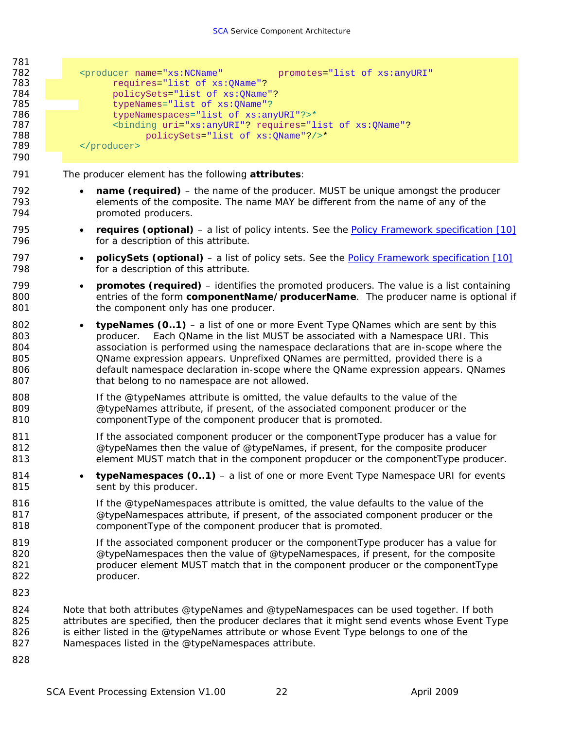| 781<br>782<br>783<br>784<br>785<br>786<br>787<br>788<br>789<br>790 | <producer <br="" name="xs:NCName">promotes="list of xs:anyURI"<br/>requires="list of xs: QName"?<br/>policySets="list of xs: QName"?<br/>typeNames="list of xs: QName"?<br/>typeNamespaces="list of xs:anyURI"?&gt;*<br/><binding ?="" ?<br="" requires="list of xs: QName" uri="xs:anyURI">policySets="list of xs: QName"?/&gt;*<br/></binding></producer>                                                                                                                                           |
|--------------------------------------------------------------------|-------------------------------------------------------------------------------------------------------------------------------------------------------------------------------------------------------------------------------------------------------------------------------------------------------------------------------------------------------------------------------------------------------------------------------------------------------------------------------------------------------|
| 791                                                                | The producer element has the following <i>attributes</i> :                                                                                                                                                                                                                                                                                                                                                                                                                                            |
| 792<br>793<br>794                                                  | <b>name (required)</b> – the name of the producer. MUST be unique amongst the producer<br>$\bullet$<br>elements of the composite. The name MAY be different from the name of any of the<br>promoted producers.                                                                                                                                                                                                                                                                                        |
| 795<br>796                                                         | <b>requires (optional)</b> – a list of policy intents. See the <b>Policy Framework specification</b> [10]<br>$\bullet$<br>for a description of this attribute.                                                                                                                                                                                                                                                                                                                                        |
| 797<br>798                                                         | <b>policySets (optional)</b> – a list of policy sets. See the <b>Policy Framework specification</b> [10]<br>$\bullet$<br>for a description of this attribute.                                                                                                                                                                                                                                                                                                                                         |
| 799<br>800<br>801                                                  | <b>promotes (required)</b> – identifies the promoted producers. The value is a list containing<br>$\bullet$<br>entries of the form <i>componentName/producerName</i> . The producer name is optional if<br>the component only has one producer.                                                                                                                                                                                                                                                       |
| 802<br>803<br>804<br>805<br>806<br>807                             | <b>typeNames (01)</b> – a list of one or more Event Type QNames which are sent by this<br>$\bullet$<br>producer. Each QName in the list MUST be associated with a Namespace URI. This<br>association is performed using the namespace declarations that are in-scope where the<br>QName expression appears. Unprefixed QNames are permitted, provided there is a<br>default namespace declaration in-scope where the QName expression appears. QNames<br>that belong to no namespace are not allowed. |
| 808<br>809<br>810                                                  | If the @typeNames attribute is omitted, the value defaults to the value of the<br>@typeNames attribute, if present, of the associated component producer or the<br>componentType of the component producer that is promoted.                                                                                                                                                                                                                                                                          |
| 811<br>812<br>813                                                  | If the associated component producer or the component Type producer has a value for<br>@typeNames then the value of @typeNames, if present, for the composite producer<br>element MUST match that in the component propducer or the componentType producer.                                                                                                                                                                                                                                           |
| 814<br>815                                                         | typeNamespaces (01) - a list of one or more Event Type Namespace URI for events<br>sent by this producer.                                                                                                                                                                                                                                                                                                                                                                                             |
| 816<br>817<br>818                                                  | If the @typeNamespaces attribute is omitted, the value defaults to the value of the<br>@typeNamespaces attribute, if present, of the associated component producer or the<br>componentType of the component producer that is promoted.                                                                                                                                                                                                                                                                |
| 819<br>820<br>821<br>822                                           | If the associated component producer or the component Type producer has a value for<br>@typeNamespaces then the value of @typeNamespaces, if present, for the composite<br>producer element MUST match that in the component producer or the componentType<br>producer.                                                                                                                                                                                                                               |
| 823                                                                |                                                                                                                                                                                                                                                                                                                                                                                                                                                                                                       |
| 824<br>825<br>826<br>827                                           | Note that both attributes @typeNames and @typeNamespaces can be used together. If both<br>attributes are specified, then the producer declares that it might send events whose Event Type<br>is either listed in the @typeNames attribute or whose Event Type belongs to one of the<br>Namespaces listed in the @typeNamespaces attribute.                                                                                                                                                            |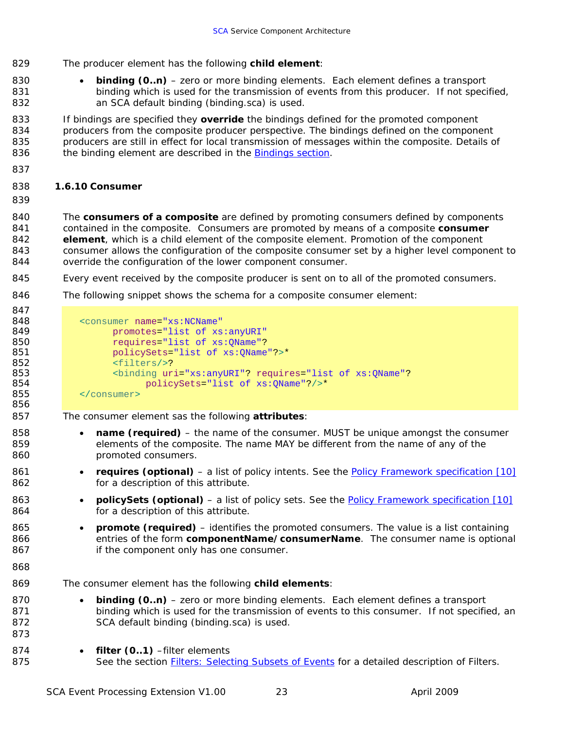- <span id="page-28-0"></span>829 The producer element has the following *child element*:
- 830 831 832 **binding (0..n)** – zero or more binding elements. Each element defines a transport binding which is used for the transmission of events from this producer. If not specified, an SCA default binding (binding.sca) is used.

833 834 835 If bindings are specified they *override* the bindings defined for the promoted component producers from the composite producer perspective. The bindings defined on the component producers are still in effect for local transmission of messages within the composite. Details of 836 the binding element are described in the [Bindings section.](#page-29-0)

837

#### 838 **1.6.10 Consumer**

839

847

861 862

863 864

840 841 842 843 844 The *consumers of a composite* are defined by promoting consumers defined by components contained in the composite. Consumers are promoted by means of a composite *consumer element*, which is a child element of the composite element. Promotion of the component consumer allows the configuration of the composite consumer set by a higher level component to override the configuration of the lower component consumer.

- 845 Every event received by the composite producer is sent on to all of the promoted consumers.
- 846 The following snippet shows the schema for a composite consumer element:

| 848 | <consumer <="" name="xs:NCName" th=""></consumer>                                |
|-----|----------------------------------------------------------------------------------|
| 849 | promotes="list of xs:anyURI"                                                     |
| 850 | requires="list of xs: OName"?                                                    |
| 851 | policySets="list of xs: OName"?>*                                                |
| 852 | $<$ filters/>?                                                                   |
| 853 | <binding ?="" ?<="" requires="list of xs:QName" th="" uri="xs:anyURI"></binding> |
| 854 | policySets="list of xs: OName"?/>*                                               |
| 855 | consumer>                                                                        |

The consumer element sas the following *attributes*:

- *name (required)* the name of the consumer. MUST be unique amongst the consumer elements of the composite. The name MAY be different from the name of any of the promoted consumers.
- *requires (optional)* a list of policy intents. See the [Policy Framework specification \[10\]](#page-51-0) for a description of this attribute.
- *policySets (optional)*  a list of policy sets. See the [Policy Framework specification \[10\]](#page-51-0) for a description of this attribute.
- 865 866 867 • *promote (required)* – identifies the promoted consumers. The value is a list containing entries of the form *componentName/consumerName*. The consumer name is optional if the component only has one consumer.
- 868

- 869 The consumer element has the following *child elements*:
- 870 871 872 **binding (0..n)** – zero or more binding elements. Each element defines a transport binding which is used for the transmission of events to this consumer. If not specified, an SCA default binding (binding.sca) is used.
- 874 filter (0..1) -filter elements
- 875 See the section [Filters: Selecting Subsets of Events](#page-33-0) for a detailed description of Filters.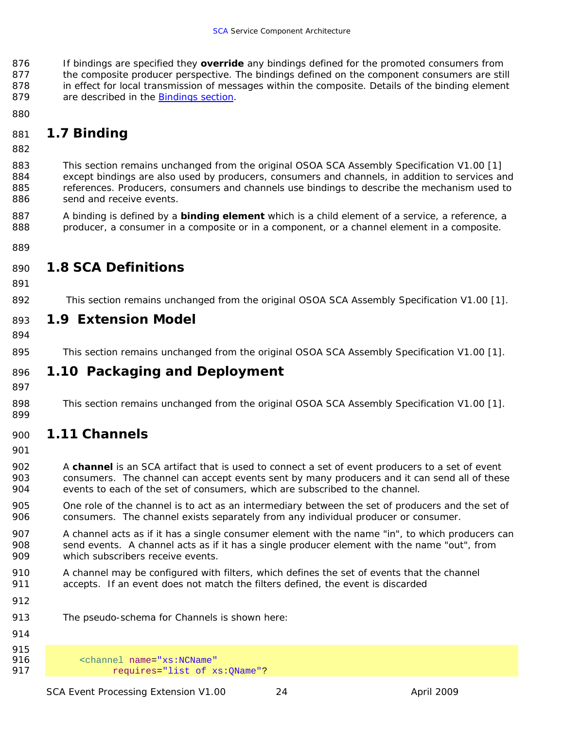<span id="page-29-0"></span>876 877 878 If bindings are specified they *override* any bindings defined for the promoted consumers from the composite producer perspective. The bindings defined on the component consumers are still in effect for local transmission of messages within the composite. Details of the binding element 879 are described in the [Bindings section.](#page-29-0)

880

## 881 *1.7 Binding*

882

883 884 885 886 This section remains unchanged from the original OSOA SCA Assembly Specification V1.00 [1] except bindings are also used by producers, consumers and channels, in addition to services and references. Producers, consumers and channels use bindings to describe the mechanism used to send and receive events.

887 888 A binding is defined by a *binding element* which is a child element of a service, a reference, a producer, a consumer in a composite or in a component, or a channel element in a composite.

889

## 890 *1.8 SCA Definitions*

891

892 This section remains unchanged from the original OSOA SCA Assembly Specification V1.00 [1].

### 893 *1.9 Extension Model*

894

895 This section remains unchanged from the original OSOA SCA Assembly Specification V1.00 [1].

### 896 *1.10 Packaging and Deployment*

897

898 899 This section remains unchanged from the original OSOA SCA Assembly Specification V1.00 [1].

# 900 *1.11 Channels*

901

902 903 904 A *channel* is an SCA artifact that is used to connect a set of event producers to a set of event consumers. The channel can accept events sent by many producers and it can send all of these events to each of the set of consumers, which are subscribed to the channel.

- 905 906 One role of the channel is to act as an intermediary between the set of producers and the set of consumers. The channel exists separately from any individual producer or consumer.
- 907 908 909 A channel acts as if it has a single consumer element with the name "in", to which producers can send events. A channel acts as if it has a single producer element with the name "out", from which subscribers receive events.
- 910 911 A channel may be configured with filters, which defines the set of events that the channel accepts. If an event does not match the filters defined, the event is discarded
- 912
- 913 The pseudo-schema for Channels is shown here:
- 914

915<br>916 916 <channel name="xs:NCName" 917 requires="list of xs:QName"?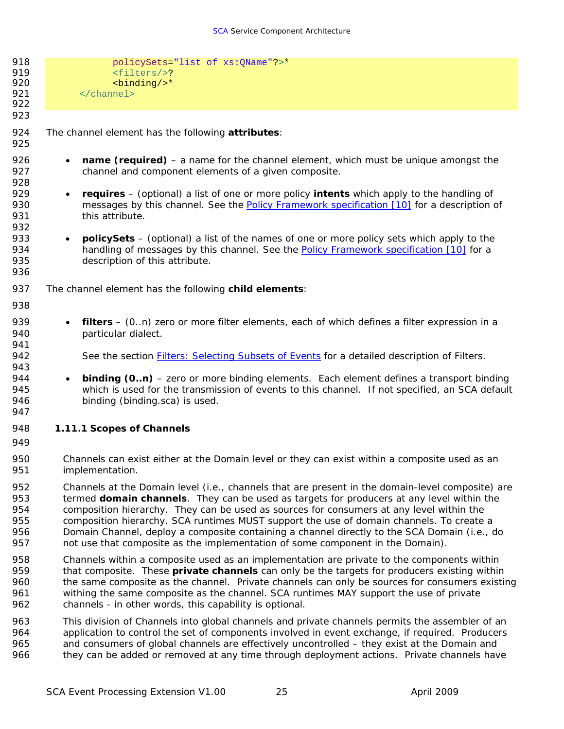<span id="page-30-0"></span>

| 918<br>919<br>920<br>921<br>922 | policySets="list of xs: QName"?>*<br><filters></filters> ?<br><binding></binding> *<br>             |  |
|---------------------------------|-----------------------------------------------------------------------------------------------------|--|
| 923                             |                                                                                                     |  |
| 924<br>925                      | The channel element has the following attributes:                                                   |  |
| 926                             | <b>name (required)</b> – a name for the channel element, which must be unique amongst the           |  |
| 927                             | $\bullet$                                                                                           |  |
| 928                             | channel and component elements of a given composite.                                                |  |
| 929                             | requires – (optional) a list of one or more policy <i>intents</i> which apply to the handling of    |  |
| 930                             | $\bullet$                                                                                           |  |
| 931                             | messages by this channel. See the Policy Framework specification [10] for a description of          |  |
| 932                             | this attribute.                                                                                     |  |
| 933                             | <b>policySets</b> – (optional) a list of the names of one or more policy sets which apply to the    |  |
| 934                             | $\bullet$                                                                                           |  |
| 935                             | handling of messages by this channel. See the Policy Framework specification [10] for a             |  |
| 936                             | description of this attribute.                                                                      |  |
| 937                             | The channel element has the following <i>child elements</i> :                                       |  |
| 938                             |                                                                                                     |  |
| 939                             | filters – (0n) zero or more filter elements, each of which defines a filter expression in a         |  |
| 940                             | $\bullet$                                                                                           |  |
| 941                             | particular dialect.                                                                                 |  |
| 942<br>943                      | See the section <b>Filters: Selecting Subsets of Events</b> for a detailed description of Filters.  |  |
| 944                             | <b>binding (0.n)</b> – zero or more binding elements. Each element defines a transport binding      |  |
| 945                             | $\bullet$                                                                                           |  |
| 946                             | which is used for the transmission of events to this channel. If not specified, an SCA default      |  |
| 947                             | binding (binding.sca) is used.                                                                      |  |
| 948<br>949                      | 1.11.1 Scopes of Channels                                                                           |  |
| 950                             | Channels can exist either at the Domain level or they can exist within a composite used as an       |  |
| 951                             | implementation.                                                                                     |  |
| 952                             | Channels at the Domain level (i.e., channels that are present in the domain-level composite) are    |  |
| 953                             | termed domain channels. They can be used as targets for producers at any level within the           |  |
| 954                             | composition hierarchy. They can be used as sources for consumers at any level within the            |  |
| 955                             | composition hierarchy. SCA runtimes MUST support the use of domain channels. To create a            |  |
| 956                             | Domain Channel, deploy a composite containing a channel directly to the SCA Domain (i.e., do        |  |
| 957                             | not use that composite as the implementation of some component in the Domain).                      |  |
| 958                             | Channels within a composite used as an implementation are private to the components within          |  |
| 959                             | that composite. These <i>private channels</i> can only be the targets for producers existing within |  |
| 960                             | the same composite as the channel. Private channels can only be sources for consumers existing      |  |
| 961                             | withing the same composite as the channel. SCA runtimes MAY support the use of private              |  |
| 962                             | channels - in other words, this capability is optional.                                             |  |
| 963                             | This division of Channels into global channels and private channels permits the assembler of an     |  |
| 964                             | application to control the set of components involved in event exchange, if required. Producers     |  |
| 965                             | and consumers of global channels are effectively uncontrolled – they exist at the Domain and        |  |

966 they can be added or removed at any time through deployment actions. Private channels have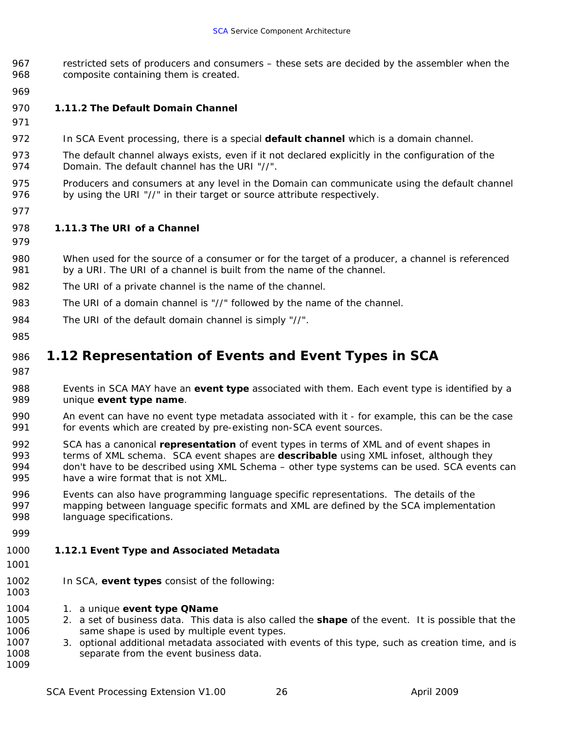- <span id="page-31-0"></span>967 968 restricted sets of producers and consumers – these sets are decided by the assembler when the composite containing them is created.
- 969
- 970 **1.11.2 The Default Domain Channel**
- 971
- 972 In SCA Event processing, there is a special *default channel* which is a domain channel.
- 973 974 The default channel always exists, even if it not declared explicitly in the configuration of the Domain. The default channel has the URI "//".
- 975 976 Producers and consumers at any level in the Domain can communicate using the default channel by using the URI "//" in their target or source attribute respectively.
- 977

978 **1.11.3 The URI of a Channel** 

- 979
- 980 981 When used for the source of a consumer or for the target of a producer, a channel is referenced by a URI. The URI of a channel is built from the name of the channel.
- 982 The URI of a private channel is the name of the channel.
- 983 The URI of a domain channel is "//" followed by the name of the channel.
- 984 The URI of the default domain channel is simply "//".
- 985

## 986 *1.12 Representation of Events and Event Types in SCA*

- 987
- 988 989 Events in SCA MAY have an *event type* associated with them. Each event type is identified by a unique *event type name*.
- 990 991 An event can have no event type metadata associated with it - for example, this can be the case for events which are created by pre-existing non-SCA event sources.
- 992 993 994 995 SCA has a canonical *representation* of event types in terms of XML and of event shapes in terms of XML schema. SCA event shapes are *describable* using XML infoset, although they don't have to be described using XML Schema – other type systems can be used. SCA events can have a wire format that is not XML.
- 996 997 998 Events can also have programming language specific representations. The details of the mapping between language specific formats and XML are defined by the SCA implementation language specifications.
- 999

#### 1000 **1.12.1 Event Type and Associated Metadata**

1001

- 1002 In SCA, *event types* consist of the following:
- 1004 1. a unique *event type QName*
- 1005 1006 2. a set of business data. This data is also called the *shape* of the event. It is possible that the same shape is used by multiple event types.
- 1007 1008 1009 3. optional additional metadata associated with events of this type, such as creation time, and is separate from the event business data.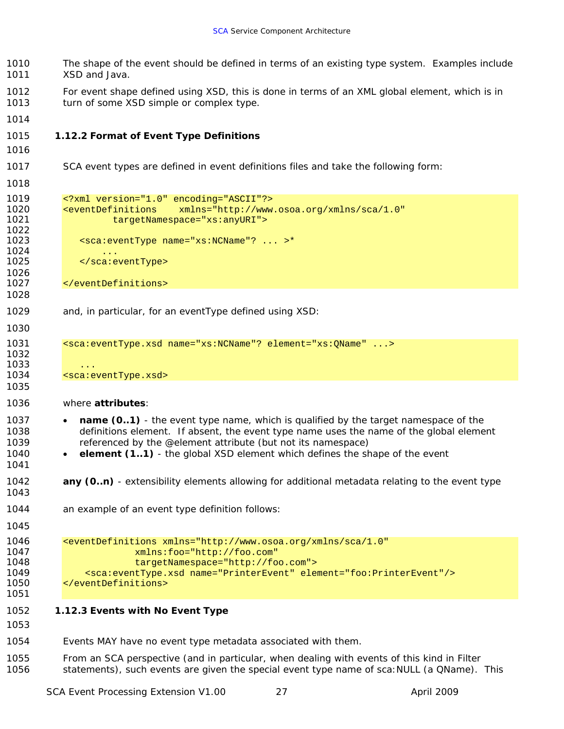- <span id="page-32-0"></span> The shape of the event should be defined in terms of an existing type system. Examples include XSD and Java.
- For event shape defined using XSD, this is done in terms of an XML global element, which is in turn of some XSD simple or complex type.
- 

#### **1.12.2 Format of Event Type Definitions**

 

 

- SCA event types are defined in event definitions files and take the following form:
- <?xml version="1.0" encoding="ASCII"?> <eventDefinitions xmlns="http://www.osoa.org/xmlns/sca/1.0" targetNamespace="xs:anyURI"> <sca:eventType name="xs:NCName"? ... >\* 1025 </sca:eventType>
- </eventDefinitions>
- and, in particular, for an eventType defined using XSD:

```
1031 <sca:eventType.xsd name="xs:NCName"? element="xs:QName" ...>
```
- 1034 <sca:eventType.xsd>
- where *attributes*:
	- *name (0..1)* the event type name, which is qualified by the target namespace of the definitions element. If absent, the event type name uses the name of the global element referenced by the @element attribute (but not its namespace)
	- *element (1..1)* the global XSD element which defines the shape of the event
- any (0..n) - extensibility elements allowing for additional metadata relating to the event type
- an example of an event type definition follows:
- 

```
1046 <eventDefinitions xmlns="http://www.osoa.org/xmlns/sca/1.0" 
1047 xmlns:foo="http://foo.com" 
                    targetNamespace="http://foo.com">
1049 <sca:eventType.xsd name="PrinterEvent" element="foo:PrinterEvent"/> 
1050 </eventDefinitions>
```
 **1.12.3 Events with No Event Type** 

 Events MAY have no event type metadata associated with them.

 From an SCA perspective (and in particular, when dealing with events of this kind in Filter statements), such events are given the special event type name of sca:NULL (a QName). This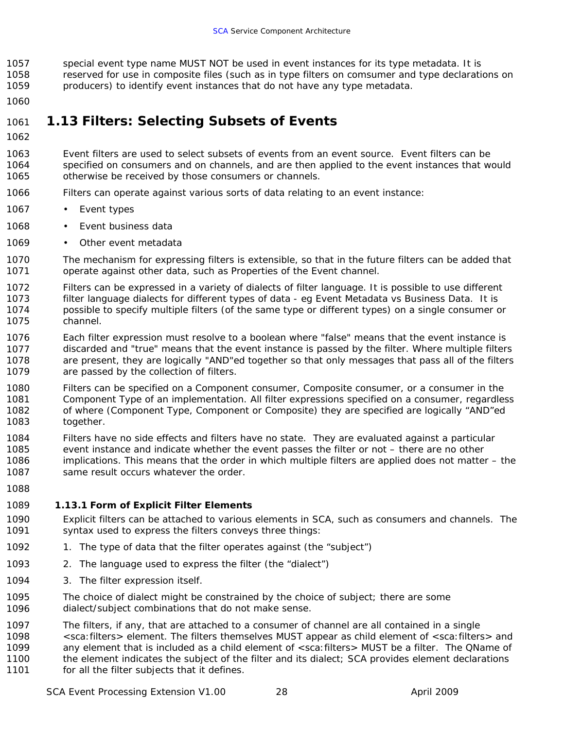<span id="page-33-0"></span>1057 1058 1059 special event type name MUST NOT be used in event instances for its type metadata. It is reserved for use in composite files (such as in type filters on comsumer and type declarations on producers) to identify event instances that do not have any type metadata.

1060

#### 1061 *1.13 Filters: Selecting Subsets of Events*

- 1062
- 1063 1064 1065 Event filters are used to select subsets of events from an event source. Event filters can be specified on consumers and on channels, and are then applied to the event instances that would otherwise be received by those consumers or channels.
- 1066 Filters can operate against various sorts of data relating to an event instance:
- 1067 • Event types
- 1068 Event business data
- 1069 Other event metadata
- 1070 1071 The mechanism for expressing filters is extensible, so that in the future filters can be added that operate against other data, such as Properties of the Event channel.
- 1072 1073 1074 1075 Filters can be expressed in a variety of dialects of filter language. It is possible to use different filter language dialects for different types of data - eg Event Metadata vs Business Data. It is possible to specify multiple filters (of the same type or different types) on a single consumer or channel.
- 1076 1077 1078 1079 Each filter expression must resolve to a boolean where "false" means that the event instance is discarded and "true" means that the event instance is passed by the filter. Where multiple filters are present, they are logically "AND"ed together so that only messages that pass all of the filters are passed by the collection of filters.
- 1080 1081 1082 1083 Filters can be specified on a Component consumer, Composite consumer, or a consumer in the Component Type of an implementation. All filter expressions specified on a consumer, regardless of where (Component Type, Component or Composite) they are specified are logically "AND"ed together.
- 1084 1085 1086 1087 Filters have no side effects and filters have no state. They are evaluated against a particular event instance and indicate whether the event passes the filter or not – there are no other implications. This means that the order in which multiple filters are applied does not matter – the same result occurs whatever the order.
- 1088

#### 1089 **1.13.1 Form of Explicit Filter Elements**

- 1090 1091 Explicit filters can be attached to various elements in SCA, such as consumers and channels. The syntax used to express the filters conveys three things:
- 1092 1. The type of data that the filter operates against (the "subject")
- 1093 2. The language used to express the filter (the "dialect")
- 1094 3. The filter expression itself.
- 1095 1096 The choice of dialect might be constrained by the choice of subject; there are some dialect/subject combinations that do not make sense.
- 1097 The filters, if any, that are attached to a consumer of channel are all contained in a single
- 1098 <sca:filters> element. The filters themselves MUST appear as child element of <sca:filters> and
- 1099 1100 any element that is included as a child element of <sca: filters> MUST be a filter. The QName of the element indicates the subject of the filter and its dialect; SCA provides element declarations
- 1101 for all the filter subjects that it defines.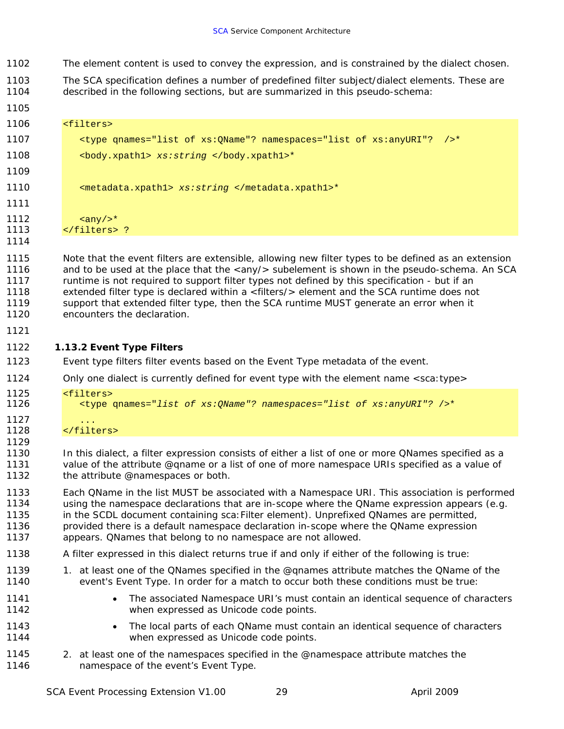- <span id="page-34-0"></span>1102 The element content is used to convey the expression, and is constrained by the dialect chosen.
- 1103 1104 The SCA specification defines a number of predefined filter subject/dialect elements. These are described in the following sections, but are summarized in this pseudo-schema:

| 1106                                         | <filters></filters>                                                                                                                                                                                                                                                                                                                                                                                                                                                                                                                      |
|----------------------------------------------|------------------------------------------------------------------------------------------------------------------------------------------------------------------------------------------------------------------------------------------------------------------------------------------------------------------------------------------------------------------------------------------------------------------------------------------------------------------------------------------------------------------------------------------|
| 1107                                         | <type ?="" ?<br="" namespaces="list of xs:anyURI" qnames="list of xs:QName"><math>/</math> &gt;*</type>                                                                                                                                                                                                                                                                                                                                                                                                                                  |
| 1108                                         | <body.xpath1> xs:string </body.xpath1> *                                                                                                                                                                                                                                                                                                                                                                                                                                                                                                 |
| 1109                                         |                                                                                                                                                                                                                                                                                                                                                                                                                                                                                                                                          |
| 1110                                         | <metadata.xpath1> xs:string </metadata.xpath1> *                                                                                                                                                                                                                                                                                                                                                                                                                                                                                         |
| 1111                                         |                                                                                                                                                                                                                                                                                                                                                                                                                                                                                                                                          |
| 1112<br>1113<br>1114                         | $\langle \text{any} \rangle$ $\rightarrow$ *<br>?                                                                                                                                                                                                                                                                                                                                                                                                                                                                                        |
| 1115<br>1116<br>1117<br>1118<br>1119<br>1120 | Note that the event filters are extensible, allowing new filter types to be defined as an extension<br>and to be used at the place that the <any></any> subelement is shown in the pseudo-schema. An SCA<br>runtime is not required to support filter types not defined by this specification - but if an<br>extended filter type is declared within a <filters></filters> element and the SCA runtime does not<br>support that extended filter type, then the SCA runtime MUST generate an error when it<br>encounters the declaration. |
| 1121                                         |                                                                                                                                                                                                                                                                                                                                                                                                                                                                                                                                          |
| 1122                                         | 1.13.2 Event Type Filters                                                                                                                                                                                                                                                                                                                                                                                                                                                                                                                |
| 1123                                         | Event type filters filter events based on the Event Type metadata of the event.                                                                                                                                                                                                                                                                                                                                                                                                                                                          |
| 1124                                         | Only one dialect is currently defined for event type with the element name <sca:type></sca:type>                                                                                                                                                                                                                                                                                                                                                                                                                                         |
| 1125<br>1126                                 | <filters><br/><type ?="" namespaces="list of xs: anyURI" qnames="list of xs: QName"></type>*</filters>                                                                                                                                                                                                                                                                                                                                                                                                                                   |
| 1127<br>1128                                 | $\sim$ $\sim$ $\sim$<br>                                                                                                                                                                                                                                                                                                                                                                                                                                                                                                                 |
| 1129<br>1130<br>1131<br>1132                 | In this dialect, a filter expression consists of either a list of one or more QNames specified as a<br>value of the attribute @qname or a list of one of more namespace URIs specified as a value of<br>the attribute @namespaces or both.                                                                                                                                                                                                                                                                                               |
| 1133<br>1134<br>1135<br>1136<br>1137         | Each QName in the list MUST be associated with a Namespace URI. This association is performed<br>using the namespace declarations that are in-scope where the QName expression appears (e.g.<br>in the SCDL document containing sca: Filter element). Unprefixed QNames are permitted,<br>provided there is a default namespace declaration in-scope where the QName expression<br>appears. QNames that belong to no namespace are not allowed.                                                                                          |
| 1138                                         | A filter expressed in this dialect returns true if and only if either of the following is true:                                                                                                                                                                                                                                                                                                                                                                                                                                          |
| 1139<br>1140                                 | 1. at least one of the QNames specified in the @qnames attribute matches the QName of the<br>event's Event Type. In order for a match to occur both these conditions must be true:                                                                                                                                                                                                                                                                                                                                                       |
| 1141<br>1142                                 | The associated Namespace URI's must contain an identical sequence of characters<br>$\bullet$<br>when expressed as Unicode code points.                                                                                                                                                                                                                                                                                                                                                                                                   |
| 1143<br>1144                                 | The local parts of each QName must contain an identical sequence of characters<br>when expressed as Unicode code points.                                                                                                                                                                                                                                                                                                                                                                                                                 |
| 1145                                         | 2. at least one of the namespaces specified in the @namespace attribute matches the                                                                                                                                                                                                                                                                                                                                                                                                                                                      |

namespace of the event's Event Type.

1105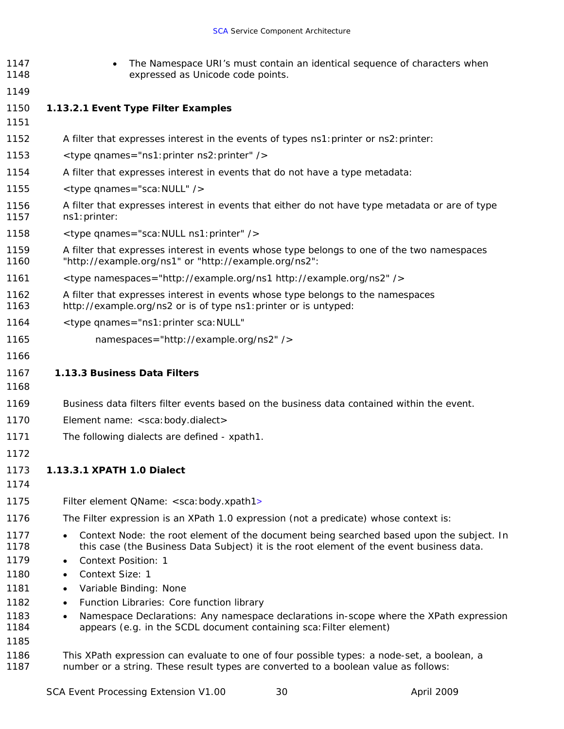- <span id="page-35-0"></span>1147 1148 • The Namespace URI's must contain an identical sequence of characters when expressed as Unicode code points.
- 1149
- 1150 *1.13.2.1 Event Type Filter Examples*
- 1151
- 1152 A filter that expresses interest in the events of types ns1: printer or ns2: printer:
- 1153 <type qnames="ns1:printer ns2:printer" />
- 1154 A filter that expresses interest in events that do not have a type metadata:
- 1155 <type qnames="sca:NULL" />
- 1156 1157 A filter that expresses interest in events that either do not have type metadata or are of type ns1:printer:
- 1158 <type qnames="sca:NULL ns1:printer" />
- 1159 1160 A filter that expresses interest in events whose type belongs to one of the two namespaces "http://example.org/ns1" or "http://example.org/ns2":
- 1161 <type namespaces="http://example.org/ns1 http://example.org/ns2" />
- 1162 1163 A filter that expresses interest in events whose type belongs to the namespaces http://example.org/ns2 or is of type ns1:printer or is untyped:
- 1164 <type qnames="ns1:printer sca:NULL"
- 1165 namespaces="http://example.org/ns2" />
- 1166

#### 1167 **1.13.3 Business Data Filters**

- 1168
- 1169 Business data filters filter events based on the business data contained within the event.
- 1170 Element name: <sca:body.*dialect*>
- 1171 The following dialects are defined - xpath1.
- 1172

1173 *1.13.3.1 XPATH 1.0 Dialect* 

- 1174
- 1175 Filter element QName: <sca:body.xpath1>
- 1176 The Filter expression is an XPath 1.0 expression (not a predicate) whose context is:
- 1177 1178 • Context Node: the root element of the document being searched based upon the subject. In this case (the Business Data Subject) it is the root element of the event business data.
- 1179 • Context Position: 1
- 1180 • Context Size: 1
- 1181 • Variable Binding: None
- 1182 • Function Libraries: Core function library
- 1183 1184 • Namespace Declarations: Any namespace declarations in-scope where the XPath expression appears (e.g. in the SCDL document containing sca:Filter element)
- 1185
- 1186 1187 This XPath expression can evaluate to one of four possible types: a node-set, a boolean, a number or a string. These result types are converted to a boolean value as follows: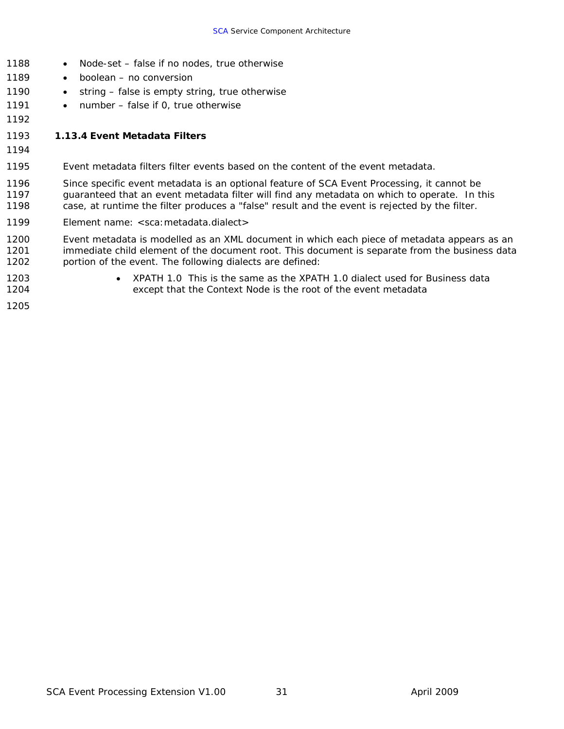- <span id="page-36-0"></span>1188 • Node-set – false if no nodes, true otherwise
- 1189 • boolean – no conversion
- 1190 • string – false is empty string, true otherwise
- 1191 • number – false if 0, true otherwise
- 1192

#### 1193 **1.13.4 Event Metadata Filters**

- 1194
- 1195 Event metadata filters filter events based on the content of the event metadata.
- 1196 1197 1198 Since specific event metadata is an optional feature of SCA Event Processing, it cannot be guaranteed that an event metadata filter will find any metadata on which to operate. In this case, at runtime the filter produces a "false" result and the event is rejected by the filter.
- 1199 Element name: <sca:metadata.*dialect*>

1200 1201 1202 Event metadata is modelled as an XML document in which each piece of metadata appears as an immediate child element of the document root. This document is separate from the business data portion of the event. The following dialects are defined:

- 1203
- XPATH 1.0 This is the same as the XPATH 1.0 dialect used for Business data except that the Context Node is the root of the event metadata
- 1204 1205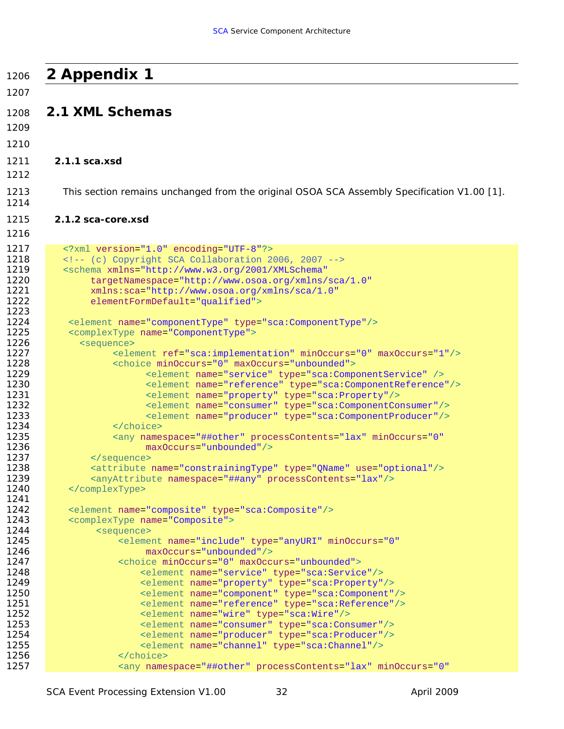<span id="page-37-0"></span>

| 1206         | 2 Appendix 1                                                                                                          |
|--------------|-----------------------------------------------------------------------------------------------------------------------|
| 1207         |                                                                                                                       |
| 1208         | 2.1 XML Schemas                                                                                                       |
| 1209         |                                                                                                                       |
| 1210         |                                                                                                                       |
|              | $2.1.1$ sca.xsd                                                                                                       |
| 1211<br>1212 |                                                                                                                       |
|              |                                                                                                                       |
| 1213<br>1214 | This section remains unchanged from the original OSOA SCA Assembly Specification V1.00 [1].                           |
| 1215         | 2.1.2 sca-core.xsd                                                                                                    |
| 1216         |                                                                                                                       |
| 1217         | xml version="1.0" encoding="UTF-8"?                                                                                   |
| 1218         | (c) Copyright SCA Collaboration 2006, 2007                                                                            |
| 1219         | <schema <="" th="" xmlns="http://www.w3.org/2001/XMLSchema"></schema>                                                 |
| 1220         | targetNamespace="http://www.osoa.org/xmlns/sca/1.0"                                                                   |
| 1221         | xmlns:sca="http://www.osoa.org/xmlns/sca/1.0"                                                                         |
| 1222         | elementFormDefault="qualified">                                                                                       |
| 1223<br>1224 |                                                                                                                       |
| 1225         | <element name="componentType" type="sca:ComponentType"></element><br><complextype name="ComponentType"></complextype> |
| 1226         | <sequence></sequence>                                                                                                 |
| 1227         | <element maxoccurs="1" minoccurs="0" ref="sca:implementation"></element>                                              |
| 1228         | <choice maxoccurs="unbounded" minoccurs="0"></choice>                                                                 |
| 1229         | <element name="service" type="sca:ComponentService"></element>                                                        |
| 1230         | <element name="reference" type="sca:ComponentReference"></element>                                                    |
| 1231         | <element name="property" type="sca:Property"></element>                                                               |
| 1232         | <element name="consumer" type="sca:ComponentConsumer"></element>                                                      |
| 1233         | <element name="producer" type="sca:ComponentProducer"></element>                                                      |
| 1234         |                                                                                                                       |
| 1235         | <any <="" minoccurs="0" namespace="##other" processcontents="lax" th=""></any>                                        |
| 1236<br>1237 | maxOccurs="unbounded"/>                                                                                               |
| 1238         | <br><attribute name="constrainingType" type="QName" use="optional"></attribute>                                       |
| 1239         | <anyattribute namespace="##any" processcontents="lax"></anyattribute>                                                 |
| 1240         |                                                                                                                       |
| 1241         |                                                                                                                       |
| 1242         | <element name="composite" type="sca:Composite"></element>                                                             |
| 1243         | <complextype name="Composite"></complextype>                                                                          |
| 1244         | <sequence></sequence>                                                                                                 |
| 1245         | <element <="" minoccurs="0" name="include" th="" type="anyURI"></element>                                             |
| 1246         | maxOccurs="unbounded"/>                                                                                               |
| 1247<br>1248 | <choice maxoccurs="unbounded" minoccurs="0"></choice>                                                                 |
| 1249         | <element name="service" type="sca:Service"></element><br><element name="property" type="sca:Property"></element>      |
| 1250         | <element name="component" type="sca:Component"></element>                                                             |
| 1251         | <element name="reference" type="sca:Reference"></element>                                                             |
| 1252         | <element name="wire" type="sca:Wire"></element>                                                                       |
| 1253         | <element name="consumer" type="sca:Consumer"></element>                                                               |
| 1254         | <element name="producer" type="sca:Producer"></element>                                                               |
| 1255         | <element name="channel" type="sca:Channel"></element>                                                                 |
| 1256         |                                                                                                                       |
| 1257         | <any <="" minoccurs="0" namespace="##other" processcontents="lax" th=""></any>                                        |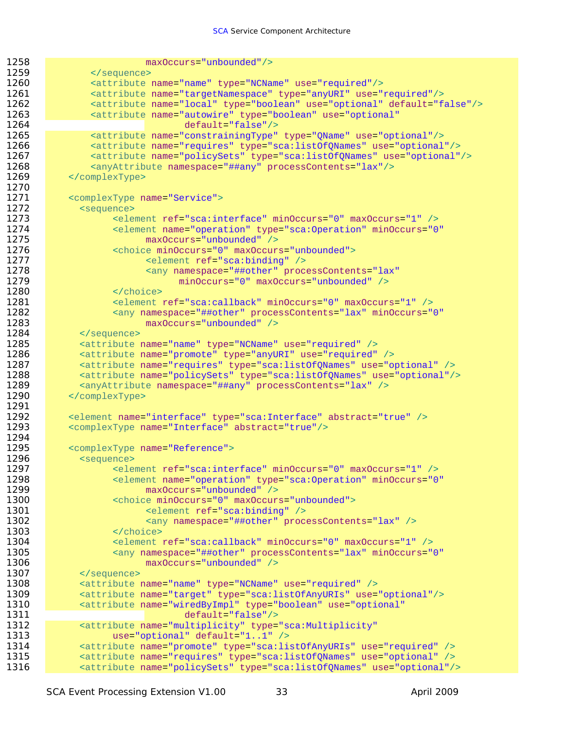```
1258 maxOccurs="unbounded"/>
1259 </sequence>
1260 <attribute name="name" type="NCName" use="required"/>
1261 • <attribute name="targetNamespace" type="anyURI" use="required"/>
1262 <attribute name="local" type="boolean" use="optional" default="false"/>
1263 <attribute name="autowire" type="boolean" use="optional" 
1264 default="false"/>
1265 <attribute name="constrainingType" type="QName" use="optional"/>
1266 <attribute name="requires" type="sca:listOfQNames" use="optional"/>
1267 <attribute name="policySets" type="sca:listOfQNames" use="optional"/>
1268 <anyAttribute namespace="##any" processContents="lax"/>
1269 </complexType>
1270 
1271 <complexType name="Service">
1272 <sequence>
1273 <element ref="sca:interface" minOccurs="0" maxOccurs="1" />
1274 • Clement name="operation" type="sca:Operation" minOccurs="0"
1275 maxOccurs="unbounded" />
1276 <choice minOccurs="0" maxOccurs="unbounded">
1277 Table 1277 School Communist Communist Communist Communist Communist Communist Communist Communist Communist Communist Communist Communist Communist Communist Communist Communist Communist Communist Communist Commun
1278 And Strain Controller Controller Assembly cany namespace="##other" processContents="lax"
1279 minOccurs="0" maxOccurs="unbounded" />
1280 </choice>
1281 <element ref="sca:callback" minOccurs="0" maxOccurs="1" />
1282 <any namespace="##other" processContents="lax" minOccurs="0"
1283 maxOccurs="unbounded" /><br>1284 </sequence>
1284 </sequence><br>1285 <attribute i
           1285 <attribute name="name" type="NCName" use="required" />
1286 • Cattribute name="promote" type="anyURI" use="required" />
1287 <attribute name="requires" type="sca:listOfQNames" use="optional" />
           1288 <attribute name="policySets" type="sca:listOfQNames" use="optional"/>
1289 <anyAttribute namespace="##any" processContents="lax" />
1290 </complexType>
1291 
1292 <element name="interface" type="sca:Interface" abstract="true" />
1293 <complexType name="Interface" abstract="true"/>
1294 
1295 <complexType name="Reference">
1296 Sequence>
1297 <element ref="sca:interface" minOccurs="0" maxOccurs="1" />
1298 <element name="operation" type="sca:Operation" minOccurs="0" 
1299 maxOccurs="unbounded" />
1300 <choice minOccurs="0" maxOccurs="unbounded">
1301 <element ref="sca:binding" />
1302 Alternative Controller Assess Contents="lax" />
1303 </choice>
1304 <element ref="sca:callback" minOccurs="0" maxOccurs="1" />
1305 <any namespace="##other" processContents="lax" minOccurs="0"
1306 maxOccurs="unbounded" />
1307 </sequence>
1308 <attribute name="name" type="NCName" use="required" />
1309 <attribute name="target" type="sca:listOfAnyURIs" use="optional"/>
1310 <attribute name="wiredByImpl" type="boolean" use="optional" 
1311 default="false"/>
1312 <attribute name="multiplicity" type="sca:Multiplicity"
1313 use="optional" default="1..1" />
1314 • Cattribute name="promote" type="sca:listOfAnyURIs" use="required" />
1315 • Cattribute name="requires" type="sca:listOfQNames" use="optional" />
1316 • <attribute name="policySets" type="sca:listOfQNames" use="optional"/>
```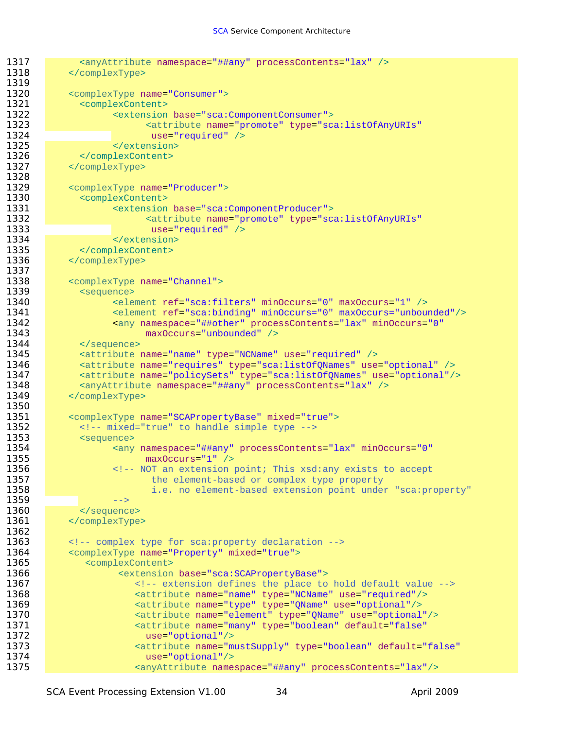```
1317 <anyAttribute namespace="##any" processContents="lax" />
1318 </complexType>
1319 
1320 <complexType name="Consumer"> 
1321 <complexContent>
1322 <extension base="sca:ComponentConsumer"> 
                         1323 <attribute name="promote" type="sca:listOfAnyURIs" 
1324 use="required" /> 
1325 </extension><br>1326 </complexContent>
             </complexContent>
1327 </complexType>
1328 
1329 <complexType name="Producer"><br>1330 <complexContent>
1330 <complexContent><br>1331 <complexContent>
                   1331 <extension base="sca:ComponentProducer"> 
1332 <attribute name="promote" type="sca:listOfAnyURIs"<br>1333 use="required" />
                         use="required" />
1334 </extension>
1335 </complexContent>
1336 </complexType>
1337 
1338 <complexType name="Channel">
1339 <sequence> 
1340 <element ref="sca:filters" minOccurs="0" maxOccurs="1" />
1341 <element ref="sca:binding" minOccurs="0" maxOccurs="unbounded"/>
1342 > \leftarrow \leftarrow \leftarrow \leftarrow \leftarrow \leftarrow \leftarrow \leftarrow \leftarrow \leftarrow \leftarrow \leftarrow \leftarrow \leftarrow \leftarrow \leftarrow \leftarrow \leftarrow \leftarrow \leftarrow \leftarrow \leftarrow \leftarrow \leftarrow \leftarrow \leftarrow \leftarrow \leftarrow \leftarrow \leftarrow \leftarrow \leftarrow \leftarrow \leftarrow \leftarrow \leftarrow1343 maxOccurs="unbounded" />
            1344 </sequence>
1345 <attribute name="name" type="NCName" use="required" />
1346 <attribute name="requires" type="sca:listOfQNames" use="optional" />
            1347 <attribute name="policySets" type="sca:listOfQNames" use="optional"/> 
1348 <anyAttribute namespace="##any" processContents="lax" />
1349 </complexType>
1350 
1351 <complexType name="SCAPropertyBase" mixed="true">
1352 <!-- mixed="true" to handle simple type -->
1353 <sequence>
1354 <any namespace="##any" processContents="lax" minOccurs="0"
1355 maxOccurs="1" />
1356 External 2012 \leq 1 -- NOT an extension point; This xsd:any exists to accept
1357 the element-based or complex type property
1358 i.e. no element-based extension point under "sca:property" 
1359 -->
1360 </sequence>
1361 </complexType>
1362 
1363 <!-- complex type for sca:property declaration --> 
1364 <complexType name="Property" mixed="true">
1365 <complexContent>
1366 CONFIDENTIAL SETS <extension base="sca:SCAPropertyBase">
1367 \leq -- extension defines the place to hold default value -->
1368 <attribute name="name" type="NCName" use="required"/>
1369 <attribute name="type" type="QName" use="optional"/> 
1370 <attribute name="element" type="QName" use="optional"/>
1371 <attribute name="many" type="boolean" default="false" 
1372 use="optional"/>
1373 <attribute name="mustSupply" type="boolean" default="false" 
1374 use="optional"/>
                       1375 <anyAttribute namespace="##any" processContents="lax"/>
```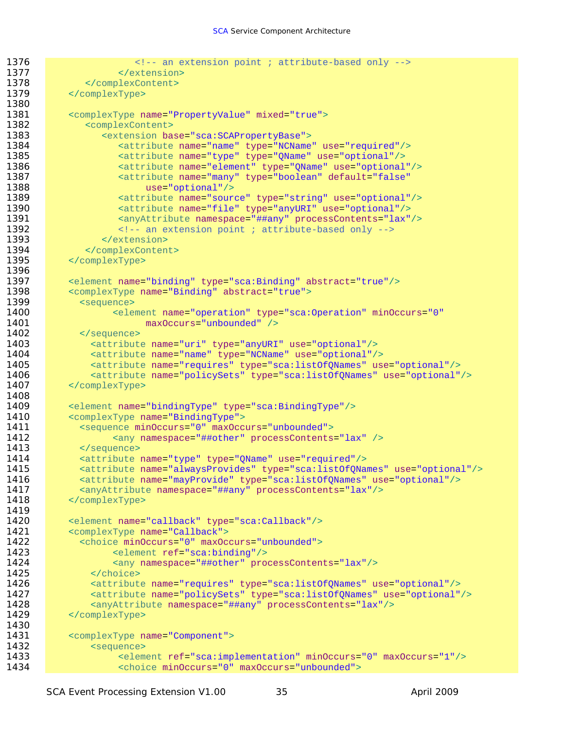```
1376 External State 2 -- an extension point ; attribute-based only -->
1377 </extension>
1378 </complexContent>
1379 </complexType>
1380 
1381 <complexType name="PropertyValue" mixed="true">
1382 <complexContent>
1383 <extension base="sca:SCAPropertyBase">
1384 <attribute name="name" type="NCName" use="required"/>
                  1385 <attribute name="type" type="QName" use="optional"/> 
1386 <attribute name="element" type="QName" use="optional"/> 
1387 <attribute name="many" type="boolean" default="false"
1388 use="optional"/><br>1389 1389 sattribute name="sour
                 1389 <attribute name="source" type="string" use="optional"/>
1390 <attribute name="file" type="anyURI" use="optional"/> 
1391 <anyAttribute namespace="##any" processContents="lax"/>
                  1392 <!-- an extension point ; attribute-based only --> 
1393 </extension>
1394 </complexContent>
1395 </complexType>
1396 
1397 <element name="binding" type="sca:Binding" abstract="true"/>
1398 <complexType name="Binding" abstract="true">
1399 Sequence>
1400 Celement name="operation" type="sca:Operation" minOccurs="0"
1401 maxOccurs="unbounded" /><br>1402 </sequence>
           1402 </sequence>
1403 <attribute name="uri" type="anyURI" use="optional"/>
1404 <attribute name="name" type="NCName" use="optional"/>
1405 <attribute name="requires" type="sca:listOfQNames" use="optional"/>
             1406 <attribute name="policySets" type="sca:listOfQNames" use="optional"/>
1407 </complexType>
1408 
1409 <element name="bindingType" type="sca:BindingType"/>
1410 <complexType name="BindingType">
1411 <sequence minOccurs="0" maxOccurs="unbounded">
1412 <any namespace="##other" processContents="lax" />
1413 </sequence>
1414 <attribute name="type" type="QName" use="required"/>
1415 <attribute name="alwaysProvides" type="sca:listOfQNames" use="optional"/>
1416 • <attribute name="mayProvide" type="sca:listOfQNames" use="optional"/>
1417 <anyAttribute namespace="##any" processContents="lax"/>
1418 </complexType>
1419 
1420 <element name="callback" type="sca:Callback"/>
1421 <complexType name="Callback">
1422 <choice minOccurs="0" maxOccurs="unbounded"><br>1423 <element ref="sca:binding"/>
                 1423 <element ref="sca:binding"/>
1424 <any namespace="##other" processContents="lax"/>
1425 \le /choice>
1426 <attribute name="requires" type="sca:listOfQNames" use="optional"/>
1427 <attribute name="policySets" type="sca:listOfQNames" use="optional"/>
1428 <anyAttribute namespace="##any" processContents="lax"/>
1429 </complexType>
1430 
1431 <complexType name="Component">
1432 <sequence>
1433 <element ref="sca:implementation" minOccurs="0" maxOccurs="1"/>
                  1434 <choice minOccurs="0" maxOccurs="unbounded">
```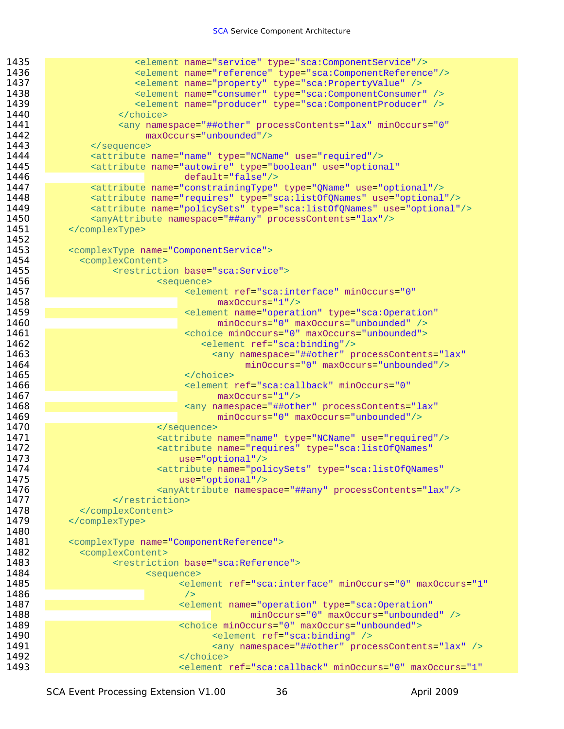| 1435 | <element name="service" type="sca:ComponentService"></element>                   |
|------|----------------------------------------------------------------------------------|
| 1436 | <element name="reference" type="sca:ComponentReference"></element>               |
| 1437 | <element name="property" type="sca:PropertyValue"></element>                     |
| 1438 | <element name="consumer" type="sca:ComponentConsumer"></element>                 |
| 1439 | <element name="producer" type="sca:ComponentProducer"></element>                 |
| 1440 |                                                                                  |
| 1441 | <any <="" minoccurs="0" namespace="##other" processcontents="lax" th=""></any>   |
| 1442 | maxOccurs="unbounded"/>                                                          |
| 1443 |                                                                                  |
| 1444 | <attribute name="name" type="NCName" use="required"></attribute>                 |
| 1445 | <attribute <="" name="autowire" th="" type="boolean" use="optional"></attribute> |
| 1446 | $default="false"$ />                                                             |
| 1447 | <attribute name="constrainingType" type="QName" use="optional"></attribute>      |
| 1448 | <attribute name="requires" type="sca:listOfQNames" use="optional"></attribute>   |
| 1449 | <attribute name="policySets" type="sca:listOfQNames" use="optional"></attribute> |
| 1450 | <anyattribute namespace="##any" processcontents="lax"></anyattribute>            |
| 1451 |                                                                                  |
| 1452 |                                                                                  |
| 1453 | <complextype name="ComponentService"></complextype>                              |
| 1454 | <complexcontent></complexcontent>                                                |
| 1455 | <restriction base="sca:Service"></restriction>                                   |
| 1456 | <sequence></sequence>                                                            |
| 1457 | <element <="" minoccurs="0" ref="sca:interface" th=""></element>                 |
| 1458 | $maxOccurs = "1"$                                                                |
| 1459 | <element <="" name="operation" th="" type="sca:Operation"></element>             |
| 1460 | minOccurs="0" maxOccurs="unbounded" />                                           |
| 1461 | <choice maxoccurs="unbounded" minoccurs="0"></choice>                            |
| 1462 | <element ref="sca:binding"></element>                                            |
| 1463 | <any <="" namespace="##other" processcontents="lax" th=""></any>                 |
| 1464 | minOccurs="0" maxOccurs="unbounded"/>                                            |
| 1465 |                                                                                  |
| 1466 | <element <="" minoccurs="0" ref="sca:callback" th=""></element>                  |
| 1467 | $maxOccurs = "1"$                                                                |
| 1468 | <any <="" namespace="##other" processcontents="lax" th=""></any>                 |
| 1469 | minOccurs="0" maxOccurs="unbounded"/>                                            |
| 1470 |                                                                                  |
| 1471 | <attribute name="name" type="NCName" use="required"></attribute>                 |
| 1472 | <attribute <="" name="requires" th="" type="sca:listOfQNames"></attribute>       |
| 1473 | $use="optional"/>$                                                               |
| 1474 | <attribute <="" name="policySets" th="" type="sca:listOfQNames"></attribute>     |
| 1475 | use="optional"/>                                                                 |
| 1476 | <anyattribute namespace="##any" processcontents="lax"></anyattribute>            |
| 1477 |                                                                                  |
| 1478 |                                                                                  |
| 1479 |                                                                                  |
| 1480 |                                                                                  |
| 1481 | <complextype name="ComponentReference"></complextype>                            |
| 1482 | <complexcontent></complexcontent>                                                |
| 1483 | <restriction base="sca:Reference"></restriction>                                 |
| 1484 | <sequence></sequence>                                                            |
| 1485 | <blement <="" maxoccurs="1" minoccurs="0" ref="sca:interface" th=""></blement>   |
| 1486 | /                                                                                |
| 1487 | <element <="" name="operation" th="" type="sca:Operation"></element>             |
| 1488 | minOccurs="0" maxOccurs="unbounded" />                                           |
| 1489 | <choice maxoccurs="unbounded" minoccurs="0"></choice>                            |
| 1490 | <element ref="sca:binding"></element>                                            |
| 1491 | <any namespace="##other" processcontents="lax"></any>                            |
| 1492 |                                                                                  |
| 1493 | <br><br>celement ref="sca:callback" minOccurs="0" maxOccurs="1"                  |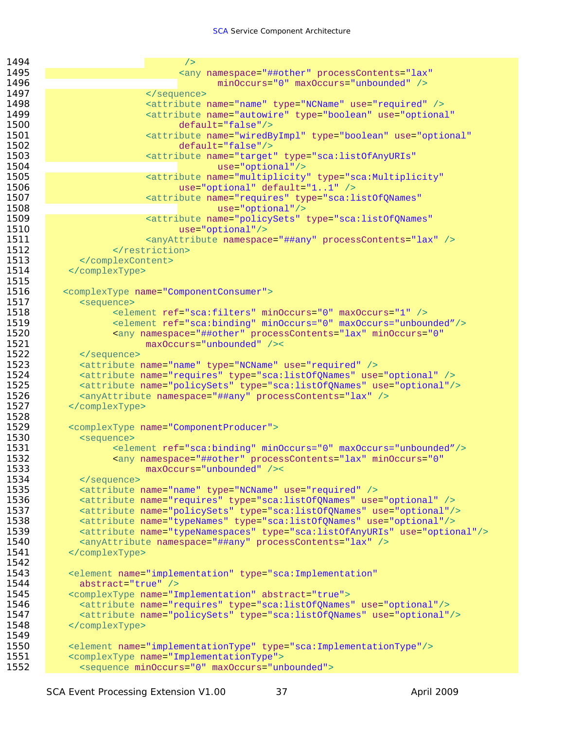| 1494         | /                                                                                     |
|--------------|---------------------------------------------------------------------------------------|
| 1495         | <any <="" namespace="##other" processcontents="lax" th=""></any>                      |
| 1496         | $minOccurs="0" maxOccurs="unbounded"$                                                 |
| 1497         |                                                                                       |
| 1498         | <attribute name="name" type="NCName" use="required"></attribute>                      |
| 1499         | <attribute <="" name="autowire" th="" type="boolean" use="optional"></attribute>      |
| 1500         | $default='false"/>$                                                                   |
| 1501         | <attribute <="" name="wiredByImpl" th="" type="boolean" use="optional"></attribute>   |
| 1502         | $default="false"$ />                                                                  |
| 1503         | <attribute <="" name="target" th="" type="sca:listOfAnyURIs"></attribute>             |
| 1504         | $use="optional"$                                                                      |
| 1505         | <attribute <="" name="multiplicity" th="" type="sca:Multiplicity"></attribute>        |
| 1506         | use="optional" default="11" />                                                        |
| 1507         | <attribute <="" name="requires" th="" type="sca:listOfQNames"></attribute>            |
| 1508         | $use="optional"$                                                                      |
| 1509         | <attribute <="" name="policySets" th="" type="sca:listOfQNames"></attribute>          |
| 1510         | $use="optional"$                                                                      |
| 1511         | <anyattribute namespace="##any" processcontents="lax"></anyattribute>                 |
| 1512         |                                                                                       |
| 1513         |                                                                                       |
| 1514         |                                                                                       |
| 1515         |                                                                                       |
| 1516         | <complextype name="ComponentConsumer"></complextype>                                  |
| 1517         | <sequence></sequence>                                                                 |
| 1518         | <element maxoccurs="1" minoccurs="0" ref="sca:filters"></element>                     |
| 1519         | <element maxoccurs="unbounded" minoccurs="0" ref="sca:binding"></element>             |
| 1520         | <any <="" minoccurs="0" namespace="##other" processcontents="lax" th=""></any>        |
| 1521         | maxOccurs="unbounded" /><                                                             |
| 1522         |                                                                                       |
| 1523         | <attribute name="name" type="NCName" use="required"></attribute>                      |
| 1524         | <attribute name="requires" type="sca:listOfQNames" use="optional"></attribute>        |
| 1525         | <attribute name="policySets" type="sca:listOfQNames" use="optional"></attribute>      |
| 1526         | <anyattribute namespace="##any" processcontents="lax"></anyattribute>                 |
| 1527         |                                                                                       |
| 1528         |                                                                                       |
| 1529         | <complextype name="ComponentProducer"></complextype>                                  |
| 1530         | <sequence></sequence>                                                                 |
| 1531         | <element maxoccurs="unbounded" minoccurs="0" ref="sca:binding"></element>             |
| 1532         | <any <="" minoccurs="0" namespace="##other" processcontents="lax" th=""></any>        |
| 1533         | $maxOccurs="unbounded"$ /><                                                           |
| 1534         |                                                                                       |
| 1535         | <attribute name="name" type="NCName" use="required"></attribute>                      |
| 1536         | <attribute name="requires" type="sca:listOfQNames" use="optional"></attribute>        |
| 1537         | <attribute name="policySets" type="sca:listOfQNames" use="optional"></attribute>      |
| 1538         | <attribute name="typeNames" type="sca:listOfQNames" use="optional"></attribute>       |
| 1539         | <attribute name="typeNamespaces" type="sca:listOfAnyURIs" use="optional"></attribute> |
| 1540         | <anyattribute namespace="##any" processcontents="lax"></anyattribute>                 |
| 1541         |                                                                                       |
| 1542         |                                                                                       |
| 1543         | <element <="" name="implementation" th="" type="sca: Implementation"></element>       |
| 1544         | abstract="true" />                                                                    |
| 1545         | <complextype abstract="true" name="Implementation"></complextype>                     |
| 1546<br>1547 | <attribute name="requires" type="sca:listOfQNames" use="optional"></attribute>        |
| 1548         | <attribute name="policySets" type="sca:listOfQNames" use="optional"></attribute>      |
| 1549         |                                                                                       |
| 1550         | <element name="implementationType" type="sca:ImplementationType"></element>           |
| 1551         | <complextype name="ImplementationType"></complextype>                                 |
| 1552         | <sequence maxoccurs="unbounded" minoccurs="0"></sequence>                             |
|              |                                                                                       |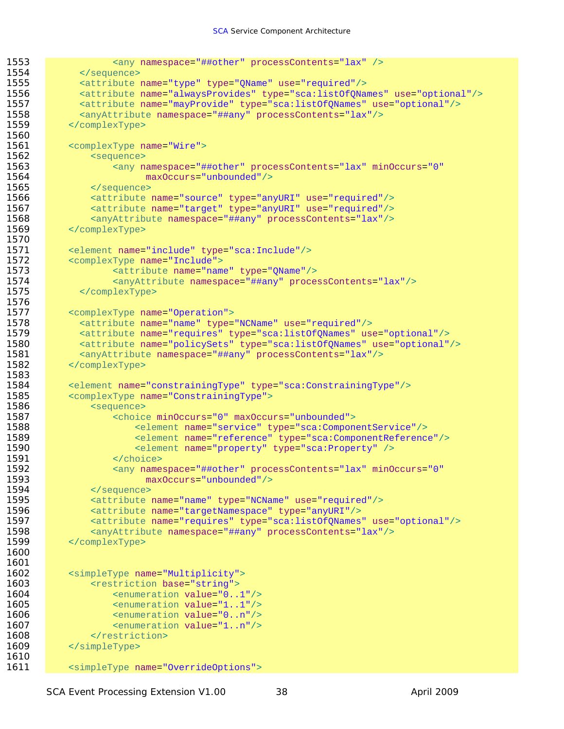```
1553 <any namespace="##other" processContents="lax" />
1554 </sequence>
1555 <attribute name="type" type="QName" use="required"/>
1556 <attribute name="alwaysProvides" type="sca:listOfQNames" use="optional"/>
1557 <attribute name="mayProvide" type="sca:listOfQNames" use="optional"/>
1558 <anyAttribute namespace="##any" processContents="lax"/>
1559 </complexType>
1560 
1561 <complexType name="Wire">
1562 <sequence><br>1563 <sequence>
                1563 <any namespace="##other" processContents="lax" minOccurs="0" 
1564 maxOccurs="unbounded"/>
1565 </sequence><br>1566 <attribute
             1566 <attribute name="source" type="anyURI" use="required"/>
1567 <attribute name="target" type="anyURI" use="required"/>
1568 <anyAttribute namespace="##any" processContents="lax"/><br>1569 </complexType>
         1569 </complexType>
1570 
1571 <element name="include" type="sca:Include"/>
1572 <complexType name="Include">
1573 <attribute name="name" type="QName"/>
1574 <anyAttribute namespace="##any" processContents="lax"/> 
1575 </complexType>
1576 
1577 <complexType name="Operation">
1578 <attribute name="name" type="NCName" use="required"/>
1579 <attribute name="requires" type="sca:listOfQNames" use="optional"/>
           1580 <attribute name="policySets" type="sca:listOfQNames" use="optional"/>
1581 <anyAttribute namespace="##any" processContents="lax"/>
1582 </complexType>
1583 
1584 <element name="constrainingType" type="sca:ConstrainingType"/>
1585 <complexType name="ConstrainingType">
1586 <sequence>
1587 <choice minOccurs="0" maxOccurs="unbounded">
1588 <element name="service" type="sca:ComponentService"/>
1589 <element name="reference" type="sca:ComponentReference"/>
1590 <element name="property" type="sca:Property" />
1591 </choice>
1592 • Cany namespace="##other" processContents="lax" minOccurs="0"
1593 maxOccurs="unbounded"/>
1594 </sequence>
1595 <attribute name="name" type="NCName" use="required"/>
1596 <attribute name="targetNamespace" type="anyURI"/>
1597 <attribute name="requires" type="sca:listOfQNames" use="optional"/>
1598 <anyAttribute namespace="##any" processContents="lax"/>
1599 </complexType>
1600 
1601 
1602 <simpleType name="Multiplicity">
1603 <restriction base="string">
1604 <enumeration value="0..1"/>
1605 <enumeration value="1..1"/>
1606 Southern Commention value="0..n"/>
1607 <enumeration value="1..n"/>
1608 </restriction>
1609 </simpleType>
1610 
1611 <simpleType name="OverrideOptions">
```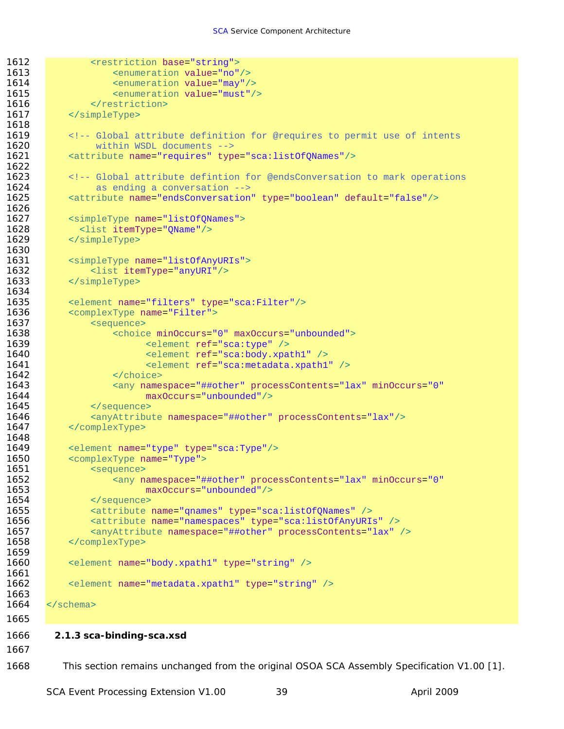```
1612 External Section base="string">
1613 <aril <aril <aril <aril <aril <aril <aril <aril <aril <aril <aril <aril <aril <aril <aril <aril <aril <aril <aril <aril <aril <aril <aril <aril <aril <aril <aril <aril <aril <aril <aril <aril <aril <aril <aril <aril <
1614 Source Address Contracts <enumeration value="may"/>
1615 Southern Commention value="must"/>
1616 </restriction>
1617 </simpleType>
1618 
1619 Since 18 <!-- Global attribute definition for @requires to permit use of intents
1620 within WSDL documents --><br>1621 sattribute name="requires" typ
           1621 <attribute name="requires" type="sca:listOfQNames"/>
1622 
1623 <!-- Global attribute defintion for @endsConversation to mark operations 
1624 as ending a conversation --><br>1625 <br>
Sattribute name="endsConversation
           1625 <attribute name="endsConversation" type="boolean" default="false"/>
1626 
1627 <simpleType name="listOfQNames">
1628 <list itemType="QName"/>
1629 </simpleType>
1630 
1631 <simpleType name="listOfAnyURIs">
1632 <list itemType="anyURI"/>
1633 </simpleType>
1634 
1635 <element name="filters" type="sca:Filter"/>
1636 <complexType name="Filter">
1637 (sequence <sequence><br>1638 (choic
                   <choice minOccurs="0" maxOccurs="unbounded">
1639 <element ref="sca:type" />
1640 <element ref="sca:body.xpath1" /> 
1641 <element ref="sca:metadata.xpath1" /><br>1642 </choice>
                   </choice>
1643 • Cany namespace="##other" processContents="lax" minOccurs="0"
1644 maxOccurs="unbounded"/>
1645 </sequence>
1646 <anyAttribute namespace="##other" processContents="lax"/>
1647 </complexType>
1648 
1649 <element name="type" type="sca:Type"/>
1650 <complexType name="Type">
1651 <sequence>
1652 According to August 2012 <any namespace="##other" processContents="lax" minOccurs="0"
1653 maxOccurs="unbounded"/>
1654 </sequence>
1655 <attribute name="qnames" type="sca:listOfQNames" /> 
1656 <attribute name="namespaces" type="sca:listOfAnyURIs" />
1657 <anyAttribute namespace="##other" processContents="lax" />
1658 </complexType>
1659 
1660 <element name="body.xpath1" type="string" /> 
1661 
1662 <element name="metadata.xpath1" type="string" />
1663 
1664 < \le/schema>
1665
```
#### 1666 **2.1.3 sca-binding-sca.xsd**

1667

1668 This section remains unchanged from the original OSOA SCA Assembly Specification V1.00 [1].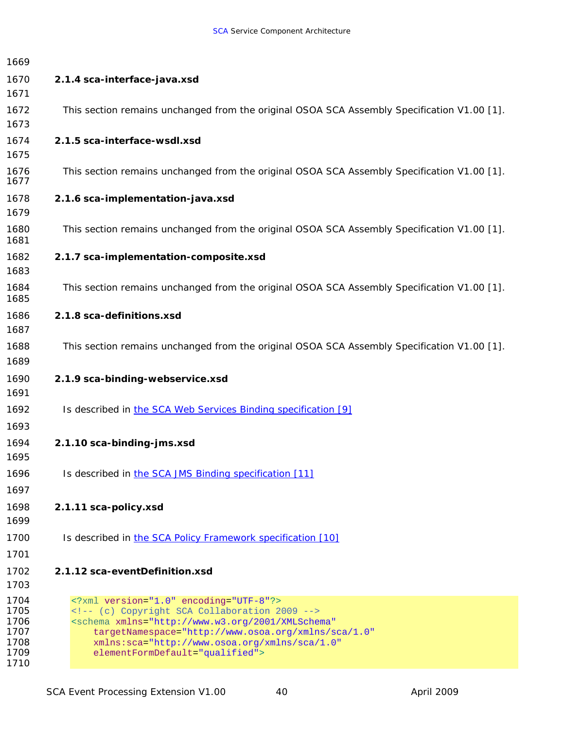<span id="page-45-0"></span>

| 1669                                                 |                                                                                                                                                                                                                                                                                              |
|------------------------------------------------------|----------------------------------------------------------------------------------------------------------------------------------------------------------------------------------------------------------------------------------------------------------------------------------------------|
| 1670                                                 | 2.1.4 sca-interface-java.xsd                                                                                                                                                                                                                                                                 |
| 1671                                                 |                                                                                                                                                                                                                                                                                              |
| 1672<br>1673                                         | This section remains unchanged from the original OSOA SCA Assembly Specification V1.00 [1].                                                                                                                                                                                                  |
| 1674<br>1675                                         | 2.1.5 sca-interface-wsdl.xsd                                                                                                                                                                                                                                                                 |
| 1676<br>1677                                         | This section remains unchanged from the original OSOA SCA Assembly Specification V1.00 [1].                                                                                                                                                                                                  |
| 1678<br>1679                                         | 2.1.6 sca-implementation-java.xsd                                                                                                                                                                                                                                                            |
| 1680<br>1681                                         | This section remains unchanged from the original OSOA SCA Assembly Specification V1.00 [1].                                                                                                                                                                                                  |
| 1682<br>1683                                         | 2.1.7 sca-implementation-composite.xsd                                                                                                                                                                                                                                                       |
| 1684<br>1685                                         | This section remains unchanged from the original OSOA SCA Assembly Specification V1.00 [1].                                                                                                                                                                                                  |
| 1686<br>1687                                         | 2.1.8 sca-definitions.xsd                                                                                                                                                                                                                                                                    |
| 1688<br>1689                                         | This section remains unchanged from the original OSOA SCA Assembly Specification V1.00 [1].                                                                                                                                                                                                  |
| 1690                                                 | 2.1.9 sca-binding-webservice.xsd                                                                                                                                                                                                                                                             |
| 1691                                                 |                                                                                                                                                                                                                                                                                              |
| 1692                                                 | Is described in the SCA Web Services Binding specification [9]                                                                                                                                                                                                                               |
| 1693                                                 |                                                                                                                                                                                                                                                                                              |
| 1694<br>1695                                         | 2.1.10 sca-binding-jms.xsd                                                                                                                                                                                                                                                                   |
| 1696                                                 | Is described in the SCA JMS Binding specification [11]                                                                                                                                                                                                                                       |
| 1697                                                 |                                                                                                                                                                                                                                                                                              |
| 1698<br>1699                                         | 2.1.11 sca-policy.xsd                                                                                                                                                                                                                                                                        |
| 1700                                                 | Is described in the SCA Policy Framework specification [10]                                                                                                                                                                                                                                  |
| 1701                                                 |                                                                                                                                                                                                                                                                                              |
| 1702                                                 | 2.1.12 sca-eventDefinition.xsd                                                                                                                                                                                                                                                               |
| 1703                                                 |                                                                                                                                                                                                                                                                                              |
| 1704<br>1705<br>1706<br>1707<br>1708<br>1709<br>1710 | xml version="1.0" encoding="UTF-8"?<br>(c) Copyright SCA Collaboration 2009<br><schema <br="" xmlns="http://www.w3.org/2001/XMLSchema">targetNamespace="http://www.osoa.org/xmlns/sca/1.0"<br/>xmlns:sca="http://www.osoa.org/xmlns/sca/1.0"<br/>elementFormDefault="qualified"&gt;</schema> |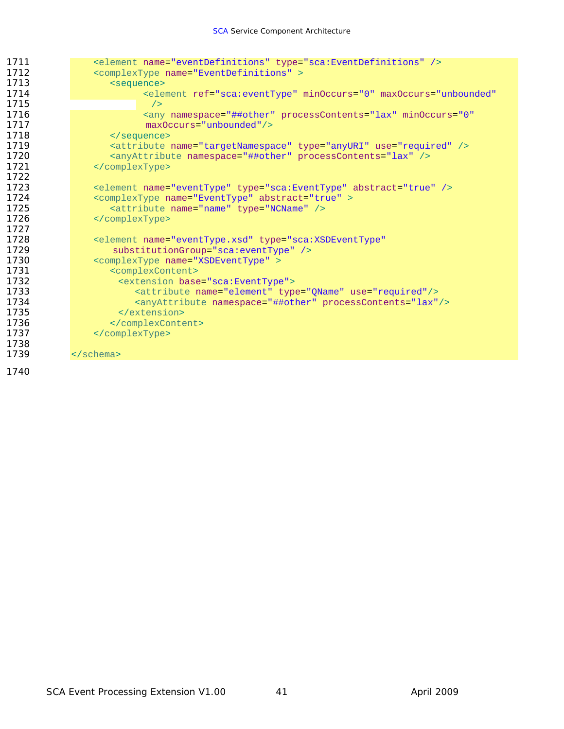| 1711 | <element name="eventDefinitions" type="sca:EventDefinitions"></element>                |
|------|----------------------------------------------------------------------------------------|
| 1712 | <complextype name="EventDefinitions"></complextype>                                    |
| 1713 | <sequence></sequence>                                                                  |
| 1714 | <blement <="" maxoccurs="unbounded" minoccurs="0" ref="sca:eventType" td=""></blement> |
| 1715 | /                                                                                      |
| 1716 | <any <="" minoccurs="0" namespace="##other" processcontents="lax" td=""></any>         |
| 1717 | $maxOccurs="unbounded"$                                                                |
| 1718 |                                                                                        |
| 1719 | <attribute name="targetNamespace" type="anyURI" use="required"></attribute>            |
| 1720 | <anyattribute namespace="##other" processcontents="lax"></anyattribute>                |
| 1721 |                                                                                        |
| 1722 |                                                                                        |
| 1723 | <element abstract="true" name="eventType" type="sca:EventType"></element>              |
| 1724 | <complextype abstract="true" name="EventType"></complextype>                           |
| 1725 | <attribute name="name" type="NCName"></attribute>                                      |
| 1726 |                                                                                        |
| 1727 |                                                                                        |
| 1728 | <element <="" name="eventType.xsd" td="" type="sca:XSDEventType"></element>            |
| 1729 | substitutionGroup="sca:eventType" />                                                   |
| 1730 | <complextype name="XSDEventType"></complextype>                                        |
| 1731 | <complexcontent></complexcontent>                                                      |
| 1732 | <extension base="sca:EventType"></extension>                                           |
| 1733 | <attribute name="element" type="QName" use="required"></attribute>                     |
| 1734 | <anyattribute namespace="##other" processcontents="lax"></anyattribute>                |
| 1735 |                                                                                        |
| 1736 |                                                                                        |
| 1737 |                                                                                        |
| 1738 |                                                                                        |
| 1739 | $\langle$ schema>                                                                      |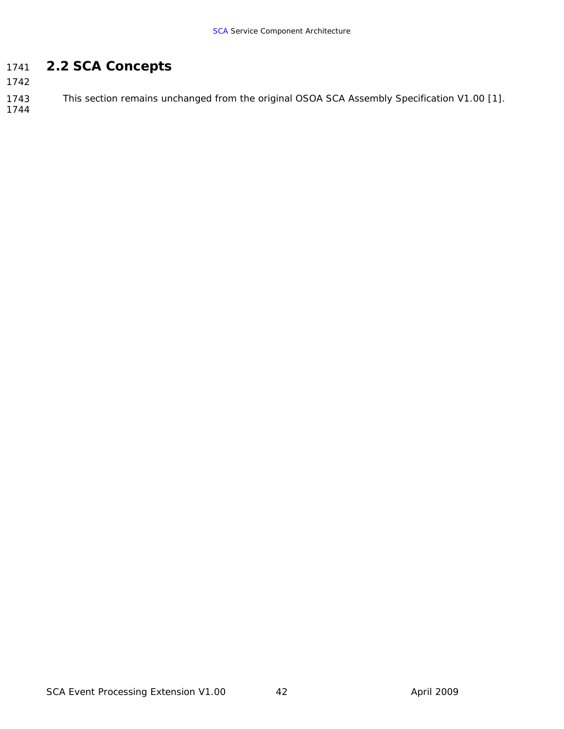#### <span id="page-47-0"></span>1741 *2.2 SCA Concepts*

1742

1743 This section remains unchanged from the original OSOA SCA Assembly Specification V1.00 [1].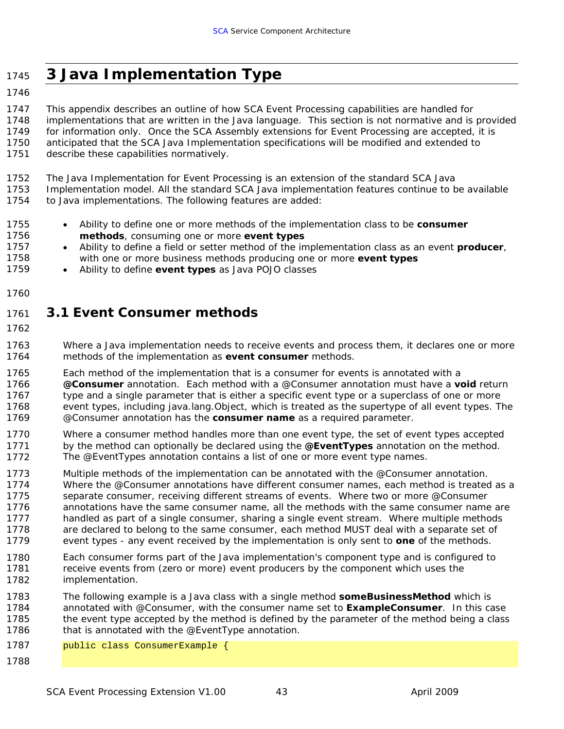# <span id="page-48-0"></span><sup>1745</sup>**3 Java Implementation Type**

1746

1747 1748 1749 1750 This appendix describes an outline of how SCA Event Processing capabilities are handled for implementations that are written in the Java language. This section is not normative and is provided for information only. Once the SCA Assembly extensions for Event Processing are accepted, it is anticipated that the SCA Java Implementation specifications will be modified and extended to

- 1751 describe these capabilities normatively.
- 1752 The Java Implementation for Event Processing is an extension of the standard SCA Java

1753 1754 Implementation model. All the standard SCA Java implementation features continue to be available to Java implementations. The following features are added:

- 1755 1756 • Ability to define one or more methods of the implementation class to be *consumer methods*, consuming one or more *event types*
- 1757 1758 • Ability to define a field or setter method of the implementation class as an event *producer*, with one or more business methods producing one or more *event types*
- 1759 • Ability to define *event types* as Java POJO classes
- 1760

#### 1761 *3.1 Event Consumer methods*

1762

1763 1764 Where a Java implementation needs to receive events and process them, it declares one or more methods of the implementation as *event consumer* methods.

1765 1766 1767 1768 1769 Each method of the implementation that is a consumer for events is annotated with a *@Consumer* annotation. Each method with a @Consumer annotation must have a *void* return type and a single parameter that is either a specific event type or a superclass of one or more event types, including java.lang.Object, which is treated as the supertype of all event types. The @Consumer annotation has the *consumer name* as a required parameter.

1770 1771 1772 Where a consumer method handles more than one event type, the set of event types accepted by the method can optionally be declared using the *@EventTypes* annotation on the method. The @EventTypes annotation contains a list of one or more event type names.

- 1773 1774 1775 1776 1777 1778 1779 Multiple methods of the implementation can be annotated with the @Consumer annotation. Where the @Consumer annotations have different consumer names, each method is treated as a separate consumer, receiving different streams of events. Where two or more @Consumer annotations have the same consumer name, all the methods with the same consumer name are handled as part of a single consumer, sharing a single event stream. Where multiple methods are declared to belong to the same consumer, each method MUST deal with a separate set of event types - any event received by the implementation is only sent to *one* of the methods.
- 1780 1781 1782 Each consumer forms part of the Java implementation's component type and is configured to receive events from (zero or more) event producers by the component which uses the implementation.
- 1783 1784 1785 1786 The following example is a Java class with a single method *someBusinessMethod* which is annotated with @Consumer, with the consumer name set to *ExampleConsumer*. In this case the event type accepted by the method is defined by the parameter of the method being a class that is annotated with the @EventType annotation.
- 1787 public class ConsumerExample {
- 1788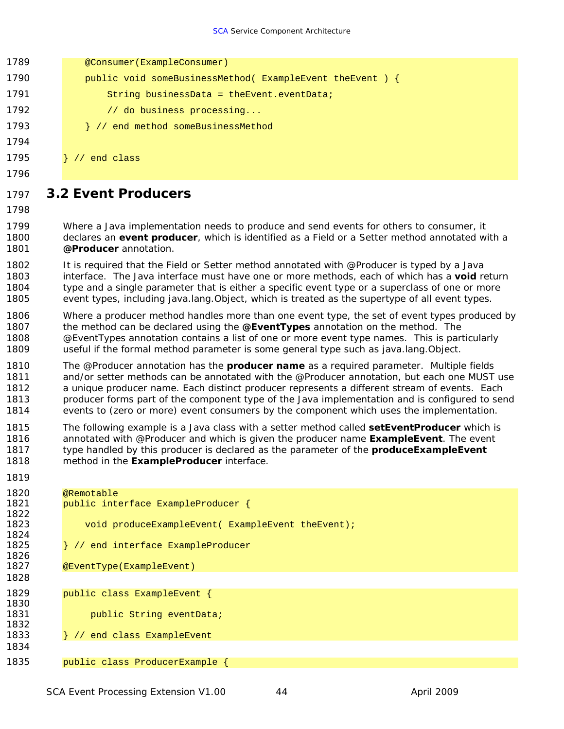<span id="page-49-0"></span>1789 **@Consumer(ExampleConsumer)** 1790 **public void someBusinessMethod( ExampleEvent theEvent ) {** 1791 String businessData = theEvent.eventData; 1792 // do business processing... 1793 **}** // end method someBusinessMethod 1794

- 1795 } // end class
- 1796

1797 *3.2 Event Producers* 

1798

1819

1799 1800 1801 Where a Java implementation needs to produce and send events for others to consumer, it declares an *event producer*, which is identified as a Field or a Setter method annotated with a *@Producer* annotation.

1802 1803 1804 1805 It is required that the Field or Setter method annotated with @Producer is typed by a Java interface. The Java interface must have one or more methods, each of which has a *void* return type and a single parameter that is either a specific event type or a superclass of one or more event types, including java.lang.Object, which is treated as the supertype of all event types.

- 1806 1807 1808 1809 Where a producer method handles more than one event type, the set of event types produced by the method can be declared using the *@EventTypes* annotation on the method. The @EventTypes annotation contains a list of one or more event type names. This is particularly useful if the formal method parameter is some general type such as java.lang.Object.
- 1810 1811 1812 1813 1814 The @Producer annotation has the *producer name* as a required parameter. Multiple fields and/or setter methods can be annotated with the @Producer annotation, but each one MUST use a unique producer name. Each distinct producer represents a different stream of events. Each producer forms part of the component type of the Java implementation and is configured to send events to (zero or more) event consumers by the component which uses the implementation.

1815 1816 1817 1818 The following example is a Java class with a setter method called *setEventProducer* which is annotated with @Producer and which is given the producer name *ExampleEvent*. The event type handled by this producer is declared as the parameter of the *produceExampleEvent* method in the *ExampleProducer* interface.

| .    |                                                   |
|------|---------------------------------------------------|
| 1820 | @Remotable                                        |
| 1821 | public interface ExampleProducer {                |
| 1822 |                                                   |
| 1823 | void produceExampleEvent( ExampleEvent theEvent); |
| 1824 |                                                   |
| 1825 | / // end interface ExampleProducer                |
| 1826 |                                                   |
| 1827 | @EventType(ExampleEvent)                          |
| 1828 |                                                   |
| 1829 | public class ExampleEvent {                       |
| 1830 |                                                   |
| 1831 | public String eventData;                          |
| 1832 |                                                   |
| 1833 | / // end class ExampleEvent                       |
| 1834 |                                                   |
| 1835 | public class ProducerExample {                    |
|      |                                                   |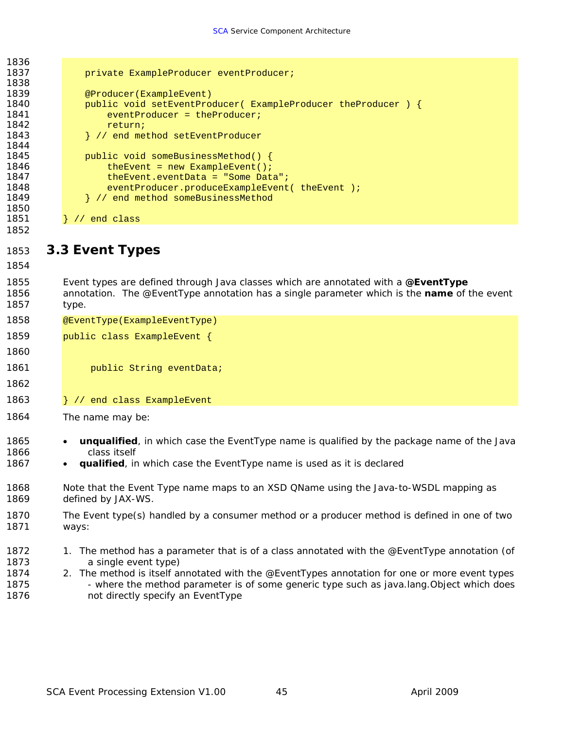<span id="page-50-0"></span>

| 1836         |                                                                                                    |
|--------------|----------------------------------------------------------------------------------------------------|
| 1837         | private ExampleProducer eventProducer;                                                             |
| 1838         |                                                                                                    |
| 1839         | @Producer(ExampleEvent)                                                                            |
| 1840         | public void setEventProducer( ExampleProducer theProducer ) {                                      |
| 1841         | $eventProduct = theProduct$                                                                        |
| 1842<br>1843 | return;                                                                                            |
| 1844         | } // end method setEventProducer                                                                   |
| 1845         | public void someBusinessMethod() {                                                                 |
| 1846         | the Event = $new$ Example Event();                                                                 |
| 1847         | the Event. event Data = "Some Data";                                                               |
| 1848         | eventProducer.produceExampleEvent(theEvent);                                                       |
| 1849         | // end method someBusinessMethod                                                                   |
| 1850         |                                                                                                    |
| 1851         | // end class                                                                                       |
| 1852         |                                                                                                    |
| 1853         | 3.3 Event Types                                                                                    |
|              |                                                                                                    |
| 1854         |                                                                                                    |
| 1855         | Event types are defined through Java classes which are annotated with a @EventType                 |
| 1856         | annotation. The @EventType annotation has a single parameter which is the name of the event        |
| 1857         | type.                                                                                              |
| 1858         | @EventType(ExampleEventType)                                                                       |
|              |                                                                                                    |
| 1859         | public class ExampleEvent {                                                                        |
| 1860         |                                                                                                    |
| 1861         | public String eventData;                                                                           |
| 1862         |                                                                                                    |
|              |                                                                                                    |
| 1863         | } // end class ExampleEvent                                                                        |
| 1864         | The name may be:                                                                                   |
|              |                                                                                                    |
| 1865         | <b>unqualified</b> , in which case the EventType name is qualified by the package name of the Java |
| 1866         | class itself                                                                                       |
| 1867         | <i>qualified</i> , in which case the EventType name is used as it is declared                      |
|              |                                                                                                    |
| 1868         | Note that the Event Type name maps to an XSD QName using the Java-to-WSDL mapping as               |
| 1869         | defined by JAX-WS.                                                                                 |
|              |                                                                                                    |
| 1870         | The Event type(s) handled by a consumer method or a producer method is defined in one of two       |
| 1871         | ways:                                                                                              |
|              |                                                                                                    |
| 1872         | 1. The method has a parameter that is of a class annotated with the @EventType annotation (of      |
| 1873         | a single event type)                                                                               |
| 1874         | 2. The method is itself annotated with the @EventTypes annotation for one or more event types      |
| 1875         | - where the method parameter is of some generic type such as java.lang. Object which does          |
| 1876         | not directly specify an EventType                                                                  |